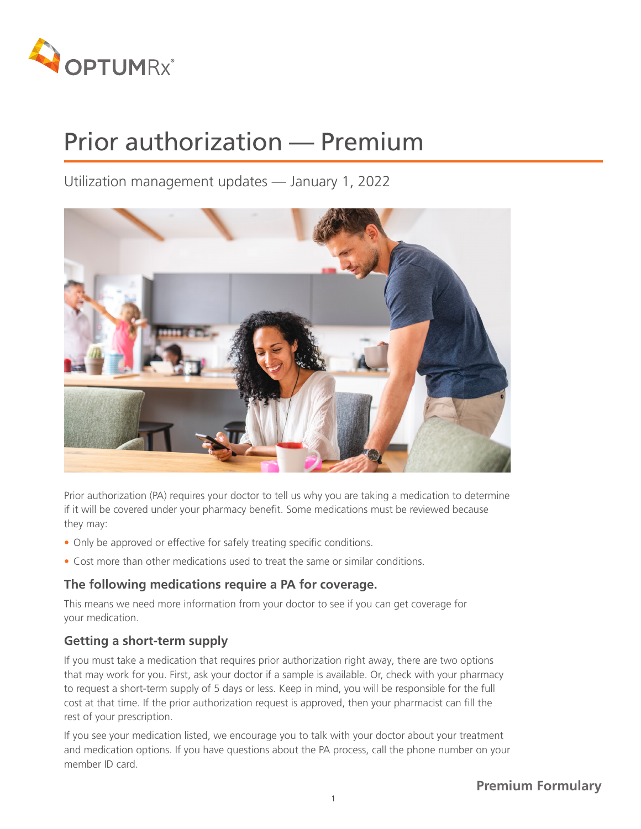

Utilization management updates — January 1, 2022



Prior authorization (PA) requires your doctor to tell us why you are taking a medication to determine if it will be covered under your pharmacy benefit. Some medications must be reviewed because they may:

- Only be approved or effective for safely treating specific conditions.
- Cost more than other medications used to treat the same or similar conditions.

### **The following medications require a PA for coverage.**

This means we need more information from your doctor to see if you can get coverage for your medication.

## **Getting a short-term supply**

If you must take a medication that requires prior authorization right away, there are two options that may work for you. First, ask your doctor if a sample is available. Or, check with your pharmacy to request a short-term supply of 5 days or less. Keep in mind, you will be responsible for the full cost at that time. If the prior authorization request is approved, then your pharmacist can fill the rest of your prescription.

If you see your medication listed, we encourage you to talk with your doctor about your treatment and medication options. If you have questions about the PA process, call the phone number on your member ID card.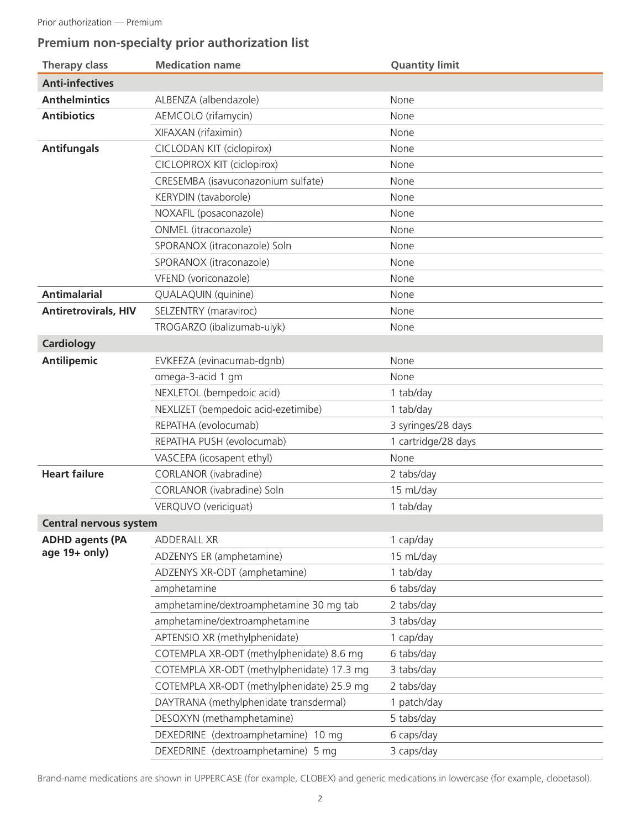# **Premium non-specialty prior authorization list**

| <b>Therapy class</b>          | <b>Medication name</b>                    | <b>Quantity limit</b> |
|-------------------------------|-------------------------------------------|-----------------------|
| <b>Anti-infectives</b>        |                                           |                       |
| <b>Anthelmintics</b>          | ALBENZA (albendazole)                     | None                  |
| <b>Antibiotics</b>            | AEMCOLO (rifamycin)                       | None                  |
|                               | XIFAXAN (rifaximin)                       | None                  |
| <b>Antifungals</b>            | CICLODAN KIT (ciclopirox)                 | None                  |
|                               | <b>CICLOPIROX KIT (ciclopirox)</b>        | None                  |
|                               | CRESEMBA (isavuconazonium sulfate)        | None                  |
|                               | KERYDIN (tavaborole)                      | None                  |
|                               | NOXAFIL (posaconazole)                    | None                  |
|                               | ONMEL (itraconazole)                      | None                  |
|                               | SPORANOX (itraconazole) Soln              | None                  |
|                               | SPORANOX (itraconazole)                   | None                  |
|                               | VFEND (voriconazole)                      | None                  |
| <b>Antimalarial</b>           | QUALAQUIN (quinine)                       | None                  |
| <b>Antiretrovirals, HIV</b>   | SELZENTRY (maraviroc)                     | None                  |
|                               | TROGARZO (ibalizumab-uiyk)                | None                  |
| <b>Cardiology</b>             |                                           |                       |
| <b>Antilipemic</b>            | EVKEEZA (evinacumab-dgnb)                 | None                  |
|                               | omega-3-acid 1 gm                         | None                  |
|                               | NEXLETOL (bempedoic acid)                 | 1 tab/day             |
|                               | NEXLIZET (bempedoic acid-ezetimibe)       | 1 tab/day             |
|                               | REPATHA (evolocumab)                      | 3 syringes/28 days    |
|                               | REPATHA PUSH (evolocumab)                 | 1 cartridge/28 days   |
|                               | VASCEPA (icosapent ethyl)                 | None                  |
| <b>Heart failure</b>          | CORLANOR (ivabradine)                     | 2 tabs/day            |
|                               | CORLANOR (ivabradine) Soln                | 15 mL/day             |
|                               | VERQUVO (vericiguat)                      | 1 tab/day             |
| <b>Central nervous system</b> |                                           |                       |
| <b>ADHD agents (PA</b>        | ADDERALL XR                               | 1 cap/day             |
| age $19+$ only)               | ADZENYS ER (amphetamine)                  | 15 mL/day             |
|                               | ADZENYS XR-ODT (amphetamine)              | 1 tab/day             |
|                               | amphetamine                               | 6 tabs/day            |
|                               | amphetamine/dextroamphetamine 30 mg tab   | 2 tabs/day            |
|                               | amphetamine/dextroamphetamine             | 3 tabs/day            |
|                               | APTENSIO XR (methylphenidate)             | 1 cap/day             |
|                               | COTEMPLA XR-ODT (methylphenidate) 8.6 mg  | 6 tabs/day            |
|                               | COTEMPLA XR-ODT (methylphenidate) 17.3 mg | 3 tabs/day            |
|                               | COTEMPLA XR-ODT (methylphenidate) 25.9 mg | 2 tabs/day            |
|                               | DAYTRANA (methylphenidate transdermal)    | 1 patch/day           |
|                               | DESOXYN (methamphetamine)                 | 5 tabs/day            |
|                               | DEXEDRINE (dextroamphetamine) 10 mg       | 6 caps/day            |
|                               | DEXEDRINE (dextroamphetamine) 5 mg        | 3 caps/day            |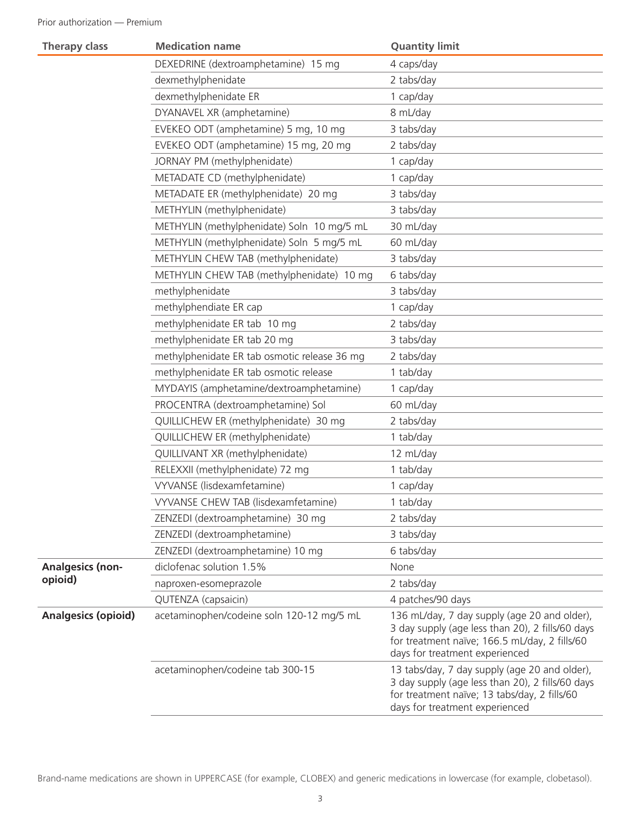| DEXEDRINE (dextroamphetamine) 15 mg<br>4 caps/day<br>dexmethylphenidate<br>2 tabs/day<br>dexmethylphenidate ER<br>1 cap/day<br>DYANAVEL XR (amphetamine)<br>8 mL/day<br>EVEKEO ODT (amphetamine) 5 mg, 10 mg<br>3 tabs/day<br>EVEKEO ODT (amphetamine) 15 mg, 20 mg<br>2 tabs/day<br>JORNAY PM (methylphenidate)<br>1 cap/day<br>METADATE CD (methylphenidate)<br>1 cap/day<br>METADATE ER (methylphenidate) 20 mg<br>3 tabs/day<br>METHYLIN (methylphenidate)<br>3 tabs/day<br>METHYLIN (methylphenidate) Soln 10 mg/5 mL<br>30 mL/day<br>METHYLIN (methylphenidate) Soln 5 mg/5 mL<br>60 mL/day<br>METHYLIN CHEW TAB (methylphenidate)<br>3 tabs/day<br>METHYLIN CHEW TAB (methylphenidate) 10 mg<br>6 tabs/day<br>methylphenidate<br>3 tabs/day<br>methylphendiate ER cap<br>1 cap/day<br>methylphenidate ER tab 10 mg<br>2 tabs/day<br>methylphenidate ER tab 20 mg<br>3 tabs/day<br>methylphenidate ER tab osmotic release 36 mg<br>2 tabs/day<br>methylphenidate ER tab osmotic release<br>1 tab/day<br>MYDAYIS (amphetamine/dextroamphetamine)<br>1 cap/day<br>PROCENTRA (dextroamphetamine) Sol<br>60 mL/day<br>QUILLICHEW ER (methylphenidate) 30 mg<br>2 tabs/day<br>QUILLICHEW ER (methylphenidate)<br>1 tab/day |  |
|-----------------------------------------------------------------------------------------------------------------------------------------------------------------------------------------------------------------------------------------------------------------------------------------------------------------------------------------------------------------------------------------------------------------------------------------------------------------------------------------------------------------------------------------------------------------------------------------------------------------------------------------------------------------------------------------------------------------------------------------------------------------------------------------------------------------------------------------------------------------------------------------------------------------------------------------------------------------------------------------------------------------------------------------------------------------------------------------------------------------------------------------------------------------------------------------------------------------------------|--|
|                                                                                                                                                                                                                                                                                                                                                                                                                                                                                                                                                                                                                                                                                                                                                                                                                                                                                                                                                                                                                                                                                                                                                                                                                             |  |
|                                                                                                                                                                                                                                                                                                                                                                                                                                                                                                                                                                                                                                                                                                                                                                                                                                                                                                                                                                                                                                                                                                                                                                                                                             |  |
|                                                                                                                                                                                                                                                                                                                                                                                                                                                                                                                                                                                                                                                                                                                                                                                                                                                                                                                                                                                                                                                                                                                                                                                                                             |  |
|                                                                                                                                                                                                                                                                                                                                                                                                                                                                                                                                                                                                                                                                                                                                                                                                                                                                                                                                                                                                                                                                                                                                                                                                                             |  |
|                                                                                                                                                                                                                                                                                                                                                                                                                                                                                                                                                                                                                                                                                                                                                                                                                                                                                                                                                                                                                                                                                                                                                                                                                             |  |
|                                                                                                                                                                                                                                                                                                                                                                                                                                                                                                                                                                                                                                                                                                                                                                                                                                                                                                                                                                                                                                                                                                                                                                                                                             |  |
|                                                                                                                                                                                                                                                                                                                                                                                                                                                                                                                                                                                                                                                                                                                                                                                                                                                                                                                                                                                                                                                                                                                                                                                                                             |  |
|                                                                                                                                                                                                                                                                                                                                                                                                                                                                                                                                                                                                                                                                                                                                                                                                                                                                                                                                                                                                                                                                                                                                                                                                                             |  |
|                                                                                                                                                                                                                                                                                                                                                                                                                                                                                                                                                                                                                                                                                                                                                                                                                                                                                                                                                                                                                                                                                                                                                                                                                             |  |
|                                                                                                                                                                                                                                                                                                                                                                                                                                                                                                                                                                                                                                                                                                                                                                                                                                                                                                                                                                                                                                                                                                                                                                                                                             |  |
|                                                                                                                                                                                                                                                                                                                                                                                                                                                                                                                                                                                                                                                                                                                                                                                                                                                                                                                                                                                                                                                                                                                                                                                                                             |  |
|                                                                                                                                                                                                                                                                                                                                                                                                                                                                                                                                                                                                                                                                                                                                                                                                                                                                                                                                                                                                                                                                                                                                                                                                                             |  |
|                                                                                                                                                                                                                                                                                                                                                                                                                                                                                                                                                                                                                                                                                                                                                                                                                                                                                                                                                                                                                                                                                                                                                                                                                             |  |
|                                                                                                                                                                                                                                                                                                                                                                                                                                                                                                                                                                                                                                                                                                                                                                                                                                                                                                                                                                                                                                                                                                                                                                                                                             |  |
|                                                                                                                                                                                                                                                                                                                                                                                                                                                                                                                                                                                                                                                                                                                                                                                                                                                                                                                                                                                                                                                                                                                                                                                                                             |  |
|                                                                                                                                                                                                                                                                                                                                                                                                                                                                                                                                                                                                                                                                                                                                                                                                                                                                                                                                                                                                                                                                                                                                                                                                                             |  |
|                                                                                                                                                                                                                                                                                                                                                                                                                                                                                                                                                                                                                                                                                                                                                                                                                                                                                                                                                                                                                                                                                                                                                                                                                             |  |
|                                                                                                                                                                                                                                                                                                                                                                                                                                                                                                                                                                                                                                                                                                                                                                                                                                                                                                                                                                                                                                                                                                                                                                                                                             |  |
|                                                                                                                                                                                                                                                                                                                                                                                                                                                                                                                                                                                                                                                                                                                                                                                                                                                                                                                                                                                                                                                                                                                                                                                                                             |  |
|                                                                                                                                                                                                                                                                                                                                                                                                                                                                                                                                                                                                                                                                                                                                                                                                                                                                                                                                                                                                                                                                                                                                                                                                                             |  |
|                                                                                                                                                                                                                                                                                                                                                                                                                                                                                                                                                                                                                                                                                                                                                                                                                                                                                                                                                                                                                                                                                                                                                                                                                             |  |
|                                                                                                                                                                                                                                                                                                                                                                                                                                                                                                                                                                                                                                                                                                                                                                                                                                                                                                                                                                                                                                                                                                                                                                                                                             |  |
|                                                                                                                                                                                                                                                                                                                                                                                                                                                                                                                                                                                                                                                                                                                                                                                                                                                                                                                                                                                                                                                                                                                                                                                                                             |  |
|                                                                                                                                                                                                                                                                                                                                                                                                                                                                                                                                                                                                                                                                                                                                                                                                                                                                                                                                                                                                                                                                                                                                                                                                                             |  |
| QUILLIVANT XR (methylphenidate)<br>12 mL/day                                                                                                                                                                                                                                                                                                                                                                                                                                                                                                                                                                                                                                                                                                                                                                                                                                                                                                                                                                                                                                                                                                                                                                                |  |
| RELEXXII (methylphenidate) 72 mg<br>1 tab/day                                                                                                                                                                                                                                                                                                                                                                                                                                                                                                                                                                                                                                                                                                                                                                                                                                                                                                                                                                                                                                                                                                                                                                               |  |
| VYVANSE (lisdexamfetamine)<br>1 cap/day                                                                                                                                                                                                                                                                                                                                                                                                                                                                                                                                                                                                                                                                                                                                                                                                                                                                                                                                                                                                                                                                                                                                                                                     |  |
| VYVANSE CHEW TAB (lisdexamfetamine)<br>1 tab/day                                                                                                                                                                                                                                                                                                                                                                                                                                                                                                                                                                                                                                                                                                                                                                                                                                                                                                                                                                                                                                                                                                                                                                            |  |
| ZENZEDI (dextroamphetamine) 30 mg<br>2 tabs/day                                                                                                                                                                                                                                                                                                                                                                                                                                                                                                                                                                                                                                                                                                                                                                                                                                                                                                                                                                                                                                                                                                                                                                             |  |
| ZENZEDI (dextroamphetamine)<br>3 tabs/day                                                                                                                                                                                                                                                                                                                                                                                                                                                                                                                                                                                                                                                                                                                                                                                                                                                                                                                                                                                                                                                                                                                                                                                   |  |
| ZENZEDI (dextroamphetamine) 10 mg<br>6 tabs/day                                                                                                                                                                                                                                                                                                                                                                                                                                                                                                                                                                                                                                                                                                                                                                                                                                                                                                                                                                                                                                                                                                                                                                             |  |
| diclofenac solution 1.5%<br><b>Analgesics (non-</b><br>None                                                                                                                                                                                                                                                                                                                                                                                                                                                                                                                                                                                                                                                                                                                                                                                                                                                                                                                                                                                                                                                                                                                                                                 |  |
| opioid)<br>naproxen-esomeprazole<br>2 tabs/day                                                                                                                                                                                                                                                                                                                                                                                                                                                                                                                                                                                                                                                                                                                                                                                                                                                                                                                                                                                                                                                                                                                                                                              |  |
| QUTENZA (capsaicin)<br>4 patches/90 days                                                                                                                                                                                                                                                                                                                                                                                                                                                                                                                                                                                                                                                                                                                                                                                                                                                                                                                                                                                                                                                                                                                                                                                    |  |
| <b>Analgesics (opioid)</b><br>acetaminophen/codeine soln 120-12 mg/5 mL<br>136 mL/day, 7 day supply (age 20 and older),<br>3 day supply (age less than 20), 2 fills/60 days<br>for treatment naïve; 166.5 mL/day, 2 fills/60<br>days for treatment experienced                                                                                                                                                                                                                                                                                                                                                                                                                                                                                                                                                                                                                                                                                                                                                                                                                                                                                                                                                              |  |
| acetaminophen/codeine tab 300-15<br>13 tabs/day, 7 day supply (age 20 and older),<br>3 day supply (age less than 20), 2 fills/60 days<br>for treatment naïve; 13 tabs/day, 2 fills/60<br>days for treatment experienced                                                                                                                                                                                                                                                                                                                                                                                                                                                                                                                                                                                                                                                                                                                                                                                                                                                                                                                                                                                                     |  |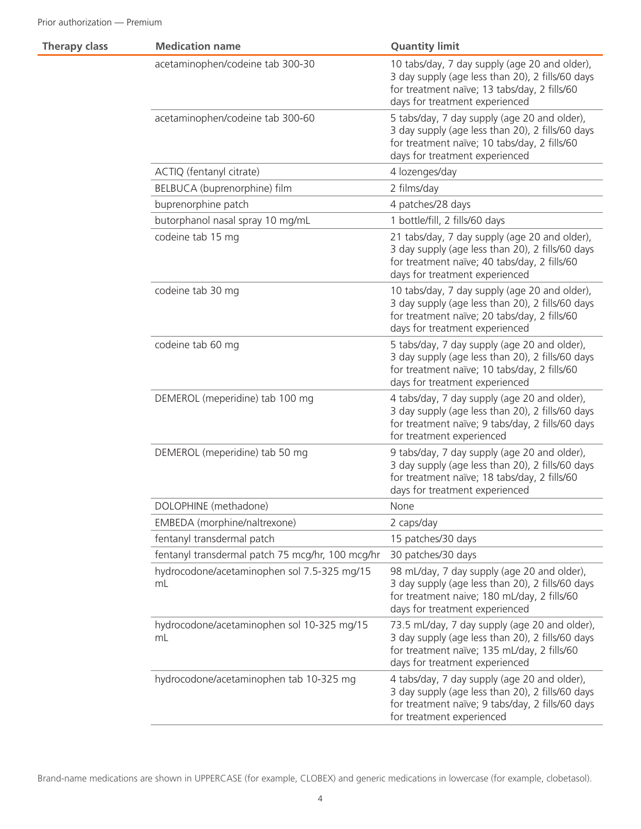| <b>Therapy class</b> | <b>Medication name</b>                            | <b>Quantity limit</b>                                                                                                                                                               |
|----------------------|---------------------------------------------------|-------------------------------------------------------------------------------------------------------------------------------------------------------------------------------------|
|                      | acetaminophen/codeine tab 300-30                  | 10 tabs/day, 7 day supply (age 20 and older),<br>3 day supply (age less than 20), 2 fills/60 days<br>for treatment naïve; 13 tabs/day, 2 fills/60<br>days for treatment experienced |
|                      | acetaminophen/codeine tab 300-60                  | 5 tabs/day, 7 day supply (age 20 and older),<br>3 day supply (age less than 20), 2 fills/60 days<br>for treatment naïve; 10 tabs/day, 2 fills/60<br>days for treatment experienced  |
|                      | ACTIQ (fentanyl citrate)                          | 4 lozenges/day                                                                                                                                                                      |
|                      | BELBUCA (buprenorphine) film                      | 2 films/day                                                                                                                                                                         |
|                      | buprenorphine patch                               | 4 patches/28 days                                                                                                                                                                   |
|                      | butorphanol nasal spray 10 mg/mL                  | 1 bottle/fill, 2 fills/60 days                                                                                                                                                      |
|                      | codeine tab 15 mg                                 | 21 tabs/day, 7 day supply (age 20 and older),<br>3 day supply (age less than 20), 2 fills/60 days<br>for treatment naïve; 40 tabs/day, 2 fills/60<br>days for treatment experienced |
|                      | codeine tab 30 mg                                 | 10 tabs/day, 7 day supply (age 20 and older),<br>3 day supply (age less than 20), 2 fills/60 days<br>for treatment naïve; 20 tabs/day, 2 fills/60<br>days for treatment experienced |
|                      | codeine tab 60 mg                                 | 5 tabs/day, 7 day supply (age 20 and older),<br>3 day supply (age less than 20), 2 fills/60 days<br>for treatment naïve; 10 tabs/day, 2 fills/60<br>days for treatment experienced  |
|                      | DEMEROL (meperidine) tab 100 mg                   | 4 tabs/day, 7 day supply (age 20 and older),<br>3 day supply (age less than 20), 2 fills/60 days<br>for treatment naïve; 9 tabs/day, 2 fills/60 days<br>for treatment experienced   |
|                      | DEMEROL (meperidine) tab 50 mg                    | 9 tabs/day, 7 day supply (age 20 and older),<br>3 day supply (age less than 20), 2 fills/60 days<br>for treatment naïve; 18 tabs/day, 2 fills/60<br>days for treatment experienced  |
|                      | DOLOPHINE (methadone)                             | <b>None</b>                                                                                                                                                                         |
|                      | EMBEDA (morphine/naltrexone)                      | 2 caps/day                                                                                                                                                                          |
|                      | fentanyl transdermal patch                        | 15 patches/30 days                                                                                                                                                                  |
|                      | fentanyl transdermal patch 75 mcg/hr, 100 mcg/hr  | 30 patches/30 days                                                                                                                                                                  |
|                      | hydrocodone/acetaminophen sol 7.5-325 mg/15<br>mL | 98 mL/day, 7 day supply (age 20 and older),<br>3 day supply (age less than 20), 2 fills/60 days<br>for treatment naive; 180 mL/day, 2 fills/60<br>days for treatment experienced    |
|                      | hydrocodone/acetaminophen sol 10-325 mg/15<br>mL  | 73.5 mL/day, 7 day supply (age 20 and older),<br>3 day supply (age less than 20), 2 fills/60 days<br>for treatment naïve; 135 mL/day, 2 fills/60<br>days for treatment experienced  |
|                      | hydrocodone/acetaminophen tab 10-325 mg           | 4 tabs/day, 7 day supply (age 20 and older),<br>3 day supply (age less than 20), 2 fills/60 days<br>for treatment naïve; 9 tabs/day, 2 fills/60 days<br>for treatment experienced   |
|                      |                                                   |                                                                                                                                                                                     |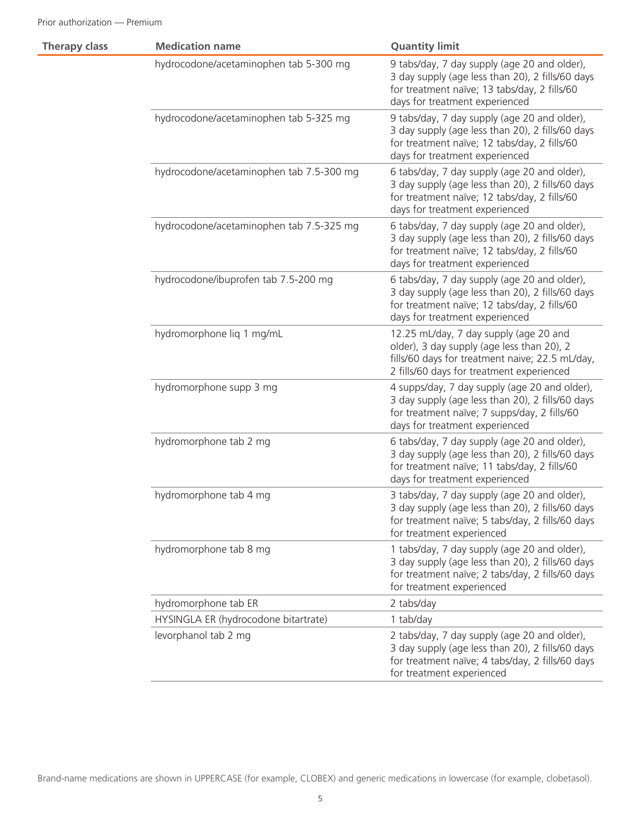| <b>Therapy class</b> | <b>Medication name</b>                   | <b>Quantity limit</b>                                                                                                                                                                |
|----------------------|------------------------------------------|--------------------------------------------------------------------------------------------------------------------------------------------------------------------------------------|
|                      | hydrocodone/acetaminophen tab 5-300 mg   | 9 tabs/day, 7 day supply (age 20 and older),<br>3 day supply (age less than 20), 2 fills/60 days<br>for treatment naïve; 13 tabs/day, 2 fills/60<br>days for treatment experienced   |
|                      | hydrocodone/acetaminophen tab 5-325 mg   | 9 tabs/day, 7 day supply (age 20 and older),<br>3 day supply (age less than 20), 2 fills/60 days<br>for treatment naïve; 12 tabs/day, 2 fills/60<br>days for treatment experienced   |
|                      | hydrocodone/acetaminophen tab 7.5-300 mg | 6 tabs/day, 7 day supply (age 20 and older),<br>3 day supply (age less than 20), 2 fills/60 days<br>for treatment naïve; 12 tabs/day, 2 fills/60<br>days for treatment experienced   |
|                      | hydrocodone/acetaminophen tab 7.5-325 mg | 6 tabs/day, 7 day supply (age 20 and older),<br>3 day supply (age less than 20), 2 fills/60 days<br>for treatment naïve; 12 tabs/day, 2 fills/60<br>days for treatment experienced   |
|                      | hydrocodone/ibuprofen tab 7.5-200 mg     | 6 tabs/day, 7 day supply (age 20 and older),<br>3 day supply (age less than 20), 2 fills/60 days<br>for treatment naïve; 12 tabs/day, 2 fills/60<br>days for treatment experienced   |
|                      | hydromorphone liq 1 mg/mL                | 12.25 mL/day, 7 day supply (age 20 and<br>older), 3 day supply (age less than 20), 2<br>fills/60 days for treatment naive; 22.5 mL/day,<br>2 fills/60 days for treatment experienced |
|                      | hydromorphone supp 3 mg                  | 4 supps/day, 7 day supply (age 20 and older),<br>3 day supply (age less than 20), 2 fills/60 days<br>for treatment naïve; 7 supps/day, 2 fills/60<br>days for treatment experienced  |
|                      | hydromorphone tab 2 mg                   | 6 tabs/day, 7 day supply (age 20 and older),<br>3 day supply (age less than 20), 2 fills/60 days<br>for treatment naïve; 11 tabs/day, 2 fills/60<br>days for treatment experienced   |
|                      | hydromorphone tab 4 mg                   | 3 tabs/day, 7 day supply (age 20 and older),<br>3 day supply (age less than 20), 2 fills/60 days<br>for treatment naïve; 5 tabs/day, 2 fills/60 days<br>for treatment experienced    |
|                      | hydromorphone tab 8 mg                   | 1 tabs/day, 7 day supply (age 20 and older),<br>3 day supply (age less than 20), 2 fills/60 days<br>for treatment naïve; 2 tabs/day, 2 fills/60 days<br>for treatment experienced    |
|                      | hydromorphone tab ER                     | 2 tabs/day                                                                                                                                                                           |
|                      | HYSINGLA ER (hydrocodone bitartrate)     | 1 tab/day                                                                                                                                                                            |
|                      | levorphanol tab 2 mg                     | 2 tabs/day, 7 day supply (age 20 and older),<br>3 day supply (age less than 20), 2 fills/60 days<br>for treatment naïve; 4 tabs/day, 2 fills/60 days<br>for treatment experienced    |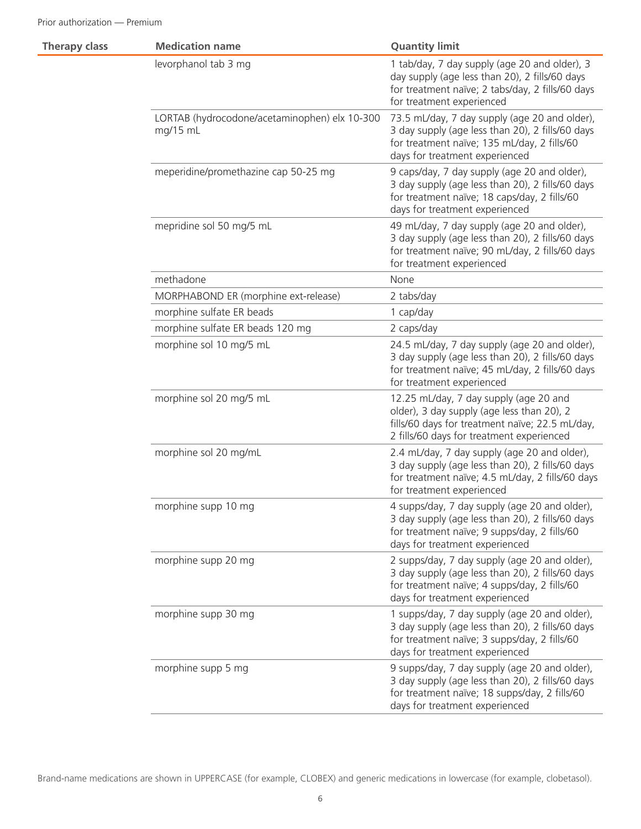| <b>Therapy class</b> | <b>Medication name</b>                                    | <b>Quantity limit</b>                                                                                                                                                                |
|----------------------|-----------------------------------------------------------|--------------------------------------------------------------------------------------------------------------------------------------------------------------------------------------|
|                      | levorphanol tab 3 mg                                      | 1 tab/day, 7 day supply (age 20 and older), 3<br>day supply (age less than 20), 2 fills/60 days<br>for treatment naïve; 2 tabs/day, 2 fills/60 days<br>for treatment experienced     |
|                      | LORTAB (hydrocodone/acetaminophen) elx 10-300<br>mg/15 mL | 73.5 mL/day, 7 day supply (age 20 and older),<br>3 day supply (age less than 20), 2 fills/60 days<br>for treatment naïve; 135 mL/day, 2 fills/60<br>days for treatment experienced   |
|                      | meperidine/promethazine cap 50-25 mg                      | 9 caps/day, 7 day supply (age 20 and older),<br>3 day supply (age less than 20), 2 fills/60 days<br>for treatment naïve; 18 caps/day, 2 fills/60<br>days for treatment experienced   |
|                      | mepridine sol 50 mg/5 mL                                  | 49 mL/day, 7 day supply (age 20 and older),<br>3 day supply (age less than 20), 2 fills/60 days<br>for treatment naïve; 90 mL/day, 2 fills/60 days<br>for treatment experienced      |
|                      | methadone                                                 | None                                                                                                                                                                                 |
|                      | MORPHABOND ER (morphine ext-release)                      | 2 tabs/day                                                                                                                                                                           |
|                      | morphine sulfate ER beads                                 | 1 cap/day                                                                                                                                                                            |
|                      | morphine sulfate ER beads 120 mg                          | 2 caps/day                                                                                                                                                                           |
|                      | morphine sol 10 mg/5 mL                                   | 24.5 mL/day, 7 day supply (age 20 and older),<br>3 day supply (age less than 20), 2 fills/60 days<br>for treatment naïve; 45 mL/day, 2 fills/60 days<br>for treatment experienced    |
|                      | morphine sol 20 mg/5 mL                                   | 12.25 mL/day, 7 day supply (age 20 and<br>older), 3 day supply (age less than 20), 2<br>fills/60 days for treatment naïve; 22.5 mL/day,<br>2 fills/60 days for treatment experienced |
|                      | morphine sol 20 mg/mL                                     | 2.4 mL/day, 7 day supply (age 20 and older),<br>3 day supply (age less than 20), 2 fills/60 days<br>for treatment naïve; 4.5 mL/day, 2 fills/60 days<br>for treatment experienced    |
|                      | morphine supp 10 mg                                       | 4 supps/day, 7 day supply (age 20 and older),<br>3 day supply (age less than 20), 2 fills/60 days<br>for treatment naïve; 9 supps/day, 2 fills/60<br>days for treatment experienced  |
|                      | morphine supp 20 mg                                       | 2 supps/day, 7 day supply (age 20 and older),<br>3 day supply (age less than 20), 2 fills/60 days<br>for treatment naïve; 4 supps/day, 2 fills/60<br>days for treatment experienced  |
|                      | morphine supp 30 mg                                       | 1 supps/day, 7 day supply (age 20 and older),<br>3 day supply (age less than 20), 2 fills/60 days<br>for treatment naïve; 3 supps/day, 2 fills/60<br>days for treatment experienced  |
|                      | morphine supp 5 mg                                        | 9 supps/day, 7 day supply (age 20 and older),<br>3 day supply (age less than 20), 2 fills/60 days<br>for treatment naïve; 18 supps/day, 2 fills/60<br>days for treatment experienced |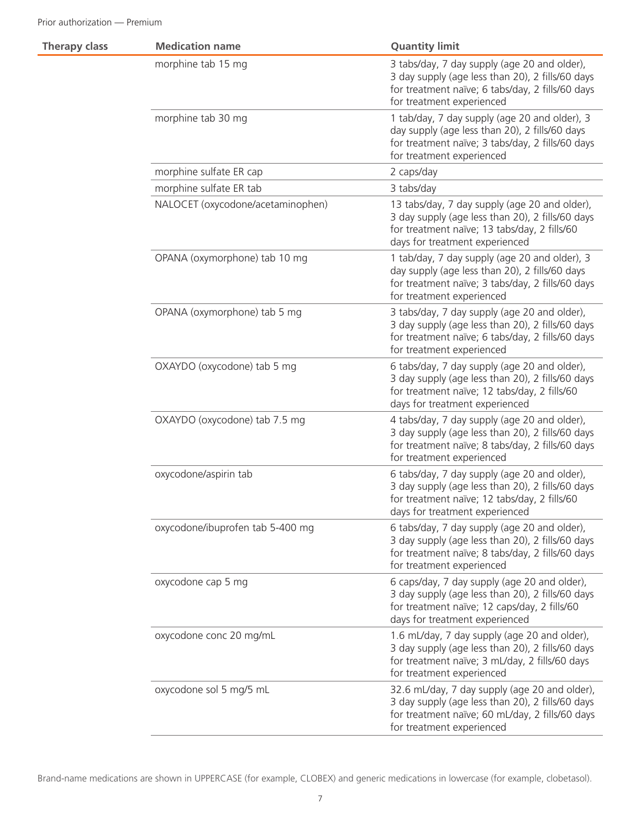| <b>Therapy class</b> | <b>Medication name</b>            | <b>Quantity limit</b>                                                                                                                                                               |
|----------------------|-----------------------------------|-------------------------------------------------------------------------------------------------------------------------------------------------------------------------------------|
|                      | morphine tab 15 mg                | 3 tabs/day, 7 day supply (age 20 and older),<br>3 day supply (age less than 20), 2 fills/60 days<br>for treatment naïve; 6 tabs/day, 2 fills/60 days<br>for treatment experienced   |
|                      | morphine tab 30 mg                | 1 tab/day, 7 day supply (age 20 and older), 3<br>day supply (age less than 20), 2 fills/60 days<br>for treatment naïve; 3 tabs/day, 2 fills/60 days<br>for treatment experienced    |
|                      | morphine sulfate ER cap           | 2 caps/day                                                                                                                                                                          |
|                      | morphine sulfate ER tab           | 3 tabs/day                                                                                                                                                                          |
|                      | NALOCET (oxycodone/acetaminophen) | 13 tabs/day, 7 day supply (age 20 and older),<br>3 day supply (age less than 20), 2 fills/60 days<br>for treatment naïve; 13 tabs/day, 2 fills/60<br>days for treatment experienced |
|                      | OPANA (oxymorphone) tab 10 mg     | 1 tab/day, 7 day supply (age 20 and older), 3<br>day supply (age less than 20), 2 fills/60 days<br>for treatment naïve; 3 tabs/day, 2 fills/60 days<br>for treatment experienced    |
|                      | OPANA (oxymorphone) tab 5 mg      | 3 tabs/day, 7 day supply (age 20 and older),<br>3 day supply (age less than 20), 2 fills/60 days<br>for treatment naïve; 6 tabs/day, 2 fills/60 days<br>for treatment experienced   |
|                      | OXAYDO (oxycodone) tab 5 mg       | 6 tabs/day, 7 day supply (age 20 and older),<br>3 day supply (age less than 20), 2 fills/60 days<br>for treatment naïve; 12 tabs/day, 2 fills/60<br>days for treatment experienced  |
|                      | OXAYDO (oxycodone) tab 7.5 mg     | 4 tabs/day, 7 day supply (age 20 and older),<br>3 day supply (age less than 20), 2 fills/60 days<br>for treatment naïve; 8 tabs/day, 2 fills/60 days<br>for treatment experienced   |
|                      | oxycodone/aspirin tab             | 6 tabs/day, 7 day supply (age 20 and older),<br>3 day supply (age less than 20), 2 fills/60 days<br>for treatment naïve; 12 tabs/day, 2 fills/60<br>days for treatment experienced  |
|                      | oxycodone/ibuprofen tab 5-400 mg  | 6 tabs/day, 7 day supply (age 20 and older),<br>3 day supply (age less than 20), 2 fills/60 days<br>for treatment naïve; 8 tabs/day, 2 fills/60 days<br>for treatment experienced   |
|                      | oxycodone cap 5 mg                | 6 caps/day, 7 day supply (age 20 and older),<br>3 day supply (age less than 20), 2 fills/60 days<br>for treatment naïve; 12 caps/day, 2 fills/60<br>days for treatment experienced  |
|                      | oxycodone conc 20 mg/mL           | 1.6 mL/day, 7 day supply (age 20 and older),<br>3 day supply (age less than 20), 2 fills/60 days<br>for treatment naïve; 3 mL/day, 2 fills/60 days<br>for treatment experienced     |
|                      | oxycodone sol 5 mg/5 mL           | 32.6 mL/day, 7 day supply (age 20 and older),<br>3 day supply (age less than 20), 2 fills/60 days<br>for treatment naïve; 60 mL/day, 2 fills/60 days<br>for treatment experienced   |
|                      |                                   |                                                                                                                                                                                     |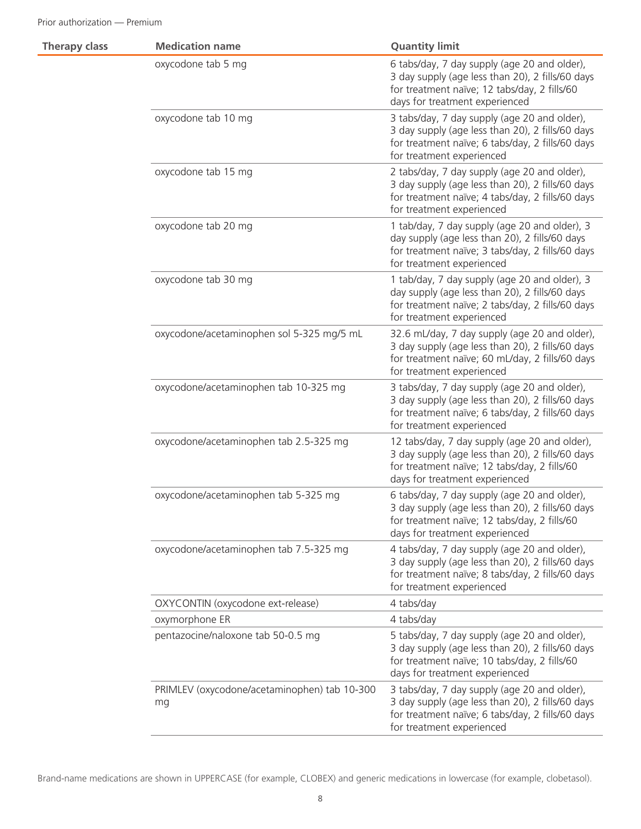| <b>Therapy class</b> | <b>Medication name</b>                             | <b>Quantity limit</b>                                                                                                                                                               |
|----------------------|----------------------------------------------------|-------------------------------------------------------------------------------------------------------------------------------------------------------------------------------------|
|                      | oxycodone tab 5 mg                                 | 6 tabs/day, 7 day supply (age 20 and older),<br>3 day supply (age less than 20), 2 fills/60 days<br>for treatment naïve; 12 tabs/day, 2 fills/60<br>days for treatment experienced  |
|                      | oxycodone tab 10 mg                                | 3 tabs/day, 7 day supply (age 20 and older),<br>3 day supply (age less than 20), 2 fills/60 days<br>for treatment naïve; 6 tabs/day, 2 fills/60 days<br>for treatment experienced   |
|                      | oxycodone tab 15 mg                                | 2 tabs/day, 7 day supply (age 20 and older),<br>3 day supply (age less than 20), 2 fills/60 days<br>for treatment naïve; 4 tabs/day, 2 fills/60 days<br>for treatment experienced   |
|                      | oxycodone tab 20 mg                                | 1 tab/day, 7 day supply (age 20 and older), 3<br>day supply (age less than 20), 2 fills/60 days<br>for treatment naïve; 3 tabs/day, 2 fills/60 days<br>for treatment experienced    |
|                      | oxycodone tab 30 mg                                | 1 tab/day, 7 day supply (age 20 and older), 3<br>day supply (age less than 20), 2 fills/60 days<br>for treatment naïve; 2 tabs/day, 2 fills/60 days<br>for treatment experienced    |
|                      | oxycodone/acetaminophen sol 5-325 mg/5 mL          | 32.6 mL/day, 7 day supply (age 20 and older),<br>3 day supply (age less than 20), 2 fills/60 days<br>for treatment naïve; 60 mL/day, 2 fills/60 days<br>for treatment experienced   |
|                      | oxycodone/acetaminophen tab 10-325 mg              | 3 tabs/day, 7 day supply (age 20 and older),<br>3 day supply (age less than 20), 2 fills/60 days<br>for treatment naïve; 6 tabs/day, 2 fills/60 days<br>for treatment experienced   |
|                      | oxycodone/acetaminophen tab 2.5-325 mg             | 12 tabs/day, 7 day supply (age 20 and older),<br>3 day supply (age less than 20), 2 fills/60 days<br>for treatment naïve; 12 tabs/day, 2 fills/60<br>days for treatment experienced |
|                      | oxycodone/acetaminophen tab 5-325 mg               | 6 tabs/day, 7 day supply (age 20 and older),<br>3 day supply (age less than 20), 2 fills/60 days<br>for treatment naïve; 12 tabs/day, 2 fills/60<br>days for treatment experienced  |
|                      | oxycodone/acetaminophen tab 7.5-325 mg             | 4 tabs/day, 7 day supply (age 20 and older),<br>3 day supply (age less than 20), 2 fills/60 days<br>for treatment naïve; 8 tabs/day, 2 fills/60 days<br>for treatment experienced   |
|                      | OXYCONTIN (oxycodone ext-release)                  | 4 tabs/day                                                                                                                                                                          |
|                      | oxymorphone ER                                     | 4 tabs/day                                                                                                                                                                          |
|                      | pentazocine/naloxone tab 50-0.5 mg                 | 5 tabs/day, 7 day supply (age 20 and older),<br>3 day supply (age less than 20), 2 fills/60 days<br>for treatment naïve; 10 tabs/day, 2 fills/60<br>days for treatment experienced  |
|                      | PRIMLEV (oxycodone/acetaminophen) tab 10-300<br>mg | 3 tabs/day, 7 day supply (age 20 and older),<br>3 day supply (age less than 20), 2 fills/60 days<br>for treatment naïve; 6 tabs/day, 2 fills/60 days<br>for treatment experienced   |
|                      |                                                    |                                                                                                                                                                                     |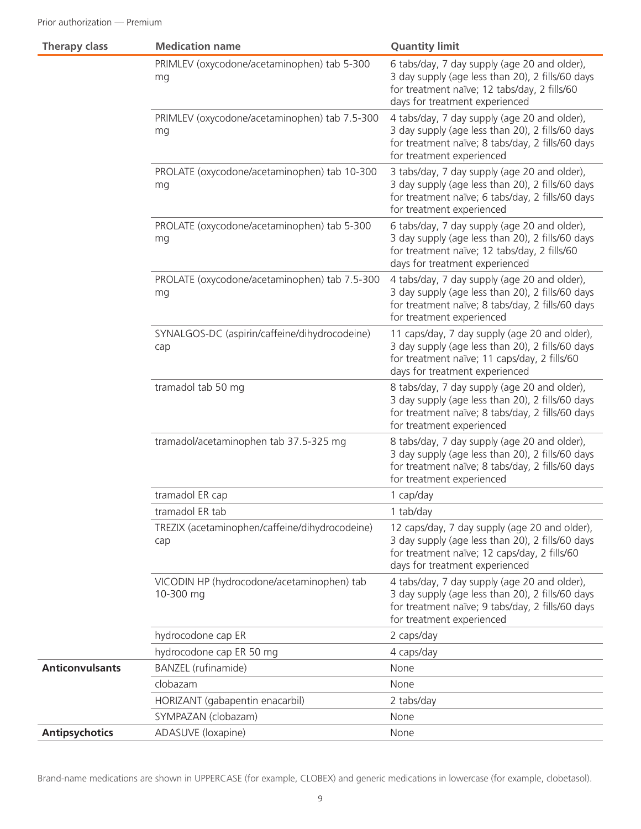| <b>Therapy class</b>   | <b>Medication name</b>                                  | <b>Quantity limit</b>                                                                                                                                                               |
|------------------------|---------------------------------------------------------|-------------------------------------------------------------------------------------------------------------------------------------------------------------------------------------|
|                        | PRIMLEV (oxycodone/acetaminophen) tab 5-300<br>mg       | 6 tabs/day, 7 day supply (age 20 and older),<br>3 day supply (age less than 20), 2 fills/60 days<br>for treatment naïve; 12 tabs/day, 2 fills/60<br>days for treatment experienced  |
|                        | PRIMLEV (oxycodone/acetaminophen) tab 7.5-300<br>mg     | 4 tabs/day, 7 day supply (age 20 and older),<br>3 day supply (age less than 20), 2 fills/60 days<br>for treatment naïve; 8 tabs/day, 2 fills/60 days<br>for treatment experienced   |
|                        | PROLATE (oxycodone/acetaminophen) tab 10-300<br>mg      | 3 tabs/day, 7 day supply (age 20 and older),<br>3 day supply (age less than 20), 2 fills/60 days<br>for treatment naïve; 6 tabs/day, 2 fills/60 days<br>for treatment experienced   |
|                        | PROLATE (oxycodone/acetaminophen) tab 5-300<br>mg       | 6 tabs/day, 7 day supply (age 20 and older),<br>3 day supply (age less than 20), 2 fills/60 days<br>for treatment naïve; 12 tabs/day, 2 fills/60<br>days for treatment experienced  |
|                        | PROLATE (oxycodone/acetaminophen) tab 7.5-300<br>mg     | 4 tabs/day, 7 day supply (age 20 and older),<br>3 day supply (age less than 20), 2 fills/60 days<br>for treatment naïve; 8 tabs/day, 2 fills/60 days<br>for treatment experienced   |
|                        | SYNALGOS-DC (aspirin/caffeine/dihydrocodeine)<br>cap    | 11 caps/day, 7 day supply (age 20 and older),<br>3 day supply (age less than 20), 2 fills/60 days<br>for treatment naïve; 11 caps/day, 2 fills/60<br>days for treatment experienced |
|                        | tramadol tab 50 mg                                      | 8 tabs/day, 7 day supply (age 20 and older),<br>3 day supply (age less than 20), 2 fills/60 days<br>for treatment naïve; 8 tabs/day, 2 fills/60 days<br>for treatment experienced   |
|                        | tramadol/acetaminophen tab 37.5-325 mg                  | 8 tabs/day, 7 day supply (age 20 and older),<br>3 day supply (age less than 20), 2 fills/60 days<br>for treatment naïve; 8 tabs/day, 2 fills/60 days<br>for treatment experienced   |
|                        | tramadol ER cap                                         | 1 cap/day                                                                                                                                                                           |
|                        | tramadol ER tab                                         | 1 tab/day                                                                                                                                                                           |
|                        | TREZIX (acetaminophen/caffeine/dihydrocodeine)<br>cap   | 12 caps/day, 7 day supply (age 20 and older),<br>3 day supply (age less than 20), 2 fills/60 days<br>for treatment naïve; 12 caps/day, 2 fills/60<br>days for treatment experienced |
|                        | VICODIN HP (hydrocodone/acetaminophen) tab<br>10-300 mg | 4 tabs/day, 7 day supply (age 20 and older),<br>3 day supply (age less than 20), 2 fills/60 days<br>for treatment naïve; 9 tabs/day, 2 fills/60 days<br>for treatment experienced   |
|                        | hydrocodone cap ER                                      | 2 caps/day                                                                                                                                                                          |
|                        | hydrocodone cap ER 50 mg                                | 4 caps/day                                                                                                                                                                          |
| <b>Anticonvulsants</b> | <b>BANZEL</b> (rufinamide)                              | None                                                                                                                                                                                |
|                        | clobazam                                                | None                                                                                                                                                                                |
|                        | HORIZANT (gabapentin enacarbil)                         | 2 tabs/day                                                                                                                                                                          |
|                        | SYMPAZAN (clobazam)                                     | None                                                                                                                                                                                |
| <b>Antipsychotics</b>  | ADASUVE (loxapine)                                      | None                                                                                                                                                                                |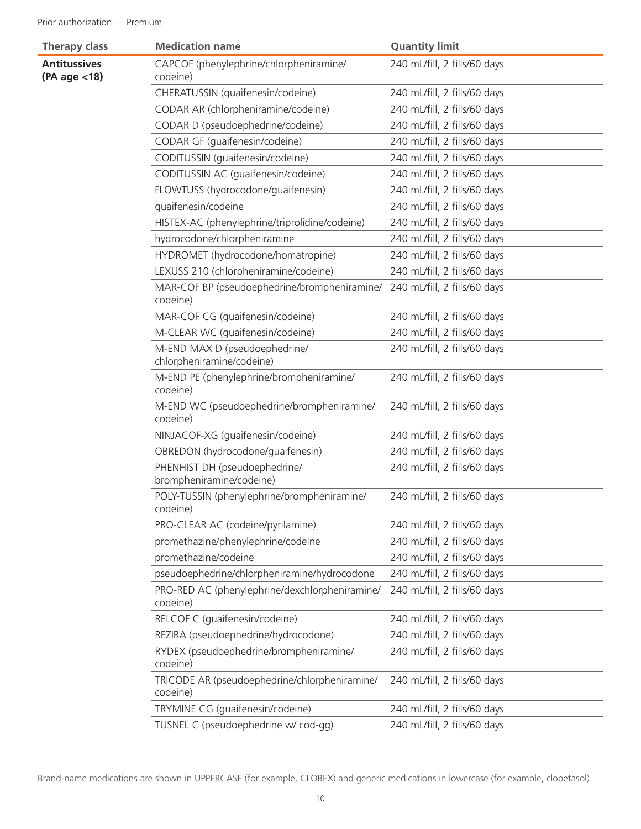| <b>Therapy class</b>                | <b>Medication name</b>                                     | <b>Quantity limit</b>        |
|-------------------------------------|------------------------------------------------------------|------------------------------|
| <b>Antitussives</b><br>(PA age <18) | CAPCOF (phenylephrine/chlorpheniramine/<br>codeine)        | 240 mL/fill, 2 fills/60 days |
|                                     | CHERATUSSIN (quaifenesin/codeine)                          | 240 mL/fill, 2 fills/60 days |
|                                     | CODAR AR (chlorpheniramine/codeine)                        | 240 mL/fill, 2 fills/60 days |
|                                     | CODAR D (pseudoephedrine/codeine)                          | 240 mL/fill, 2 fills/60 days |
|                                     | CODAR GF (guaifenesin/codeine)                             | 240 mL/fill, 2 fills/60 days |
|                                     | CODITUSSIN (guaifenesin/codeine)                           | 240 mL/fill, 2 fills/60 days |
|                                     | CODITUSSIN AC (guaifenesin/codeine)                        | 240 mL/fill, 2 fills/60 days |
|                                     | FLOWTUSS (hydrocodone/guaifenesin)                         | 240 mL/fill, 2 fills/60 days |
|                                     | guaifenesin/codeine                                        | 240 mL/fill, 2 fills/60 days |
|                                     | HISTEX-AC (phenylephrine/triprolidine/codeine)             | 240 mL/fill, 2 fills/60 days |
|                                     | hydrocodone/chlorpheniramine                               | 240 mL/fill, 2 fills/60 days |
|                                     | HYDROMET (hydrocodone/homatropine)                         | 240 mL/fill, 2 fills/60 days |
|                                     | LEXUSS 210 (chlorpheniramine/codeine)                      | 240 mL/fill, 2 fills/60 days |
|                                     | MAR-COF BP (pseudoephedrine/brompheniramine/<br>codeine)   | 240 mL/fill, 2 fills/60 days |
|                                     | MAR-COF CG (guaifenesin/codeine)                           | 240 mL/fill, 2 fills/60 days |
|                                     | M-CLEAR WC (guaifenesin/codeine)                           | 240 mL/fill, 2 fills/60 days |
|                                     | M-END MAX D (pseudoephedrine/<br>chlorpheniramine/codeine) | 240 mL/fill, 2 fills/60 days |
|                                     | M-END PE (phenylephrine/brompheniramine/<br>codeine)       | 240 mL/fill, 2 fills/60 days |
|                                     | M-END WC (pseudoephedrine/brompheniramine/<br>codeine)     | 240 mL/fill, 2 fills/60 days |
|                                     | NINJACOF-XG (guaifenesin/codeine)                          | 240 mL/fill, 2 fills/60 days |
|                                     | OBREDON (hydrocodone/guaifenesin)                          | 240 mL/fill, 2 fills/60 days |
|                                     | PHENHIST DH (pseudoephedrine/<br>brompheniramine/codeine)  | 240 mL/fill, 2 fills/60 days |
|                                     | POLY-TUSSIN (phenylephrine/brompheniramine/<br>codeine)    | 240 mL/fill, 2 fills/60 days |
|                                     | PRO-CLEAR AC (codeine/pyrilamine)                          | 240 mL/fill, 2 fills/60 days |
|                                     | promethazine/phenylephrine/codeine                         | 240 mL/fill, 2 fills/60 days |
|                                     | promethazine/codeine                                       | 240 mL/fill, 2 fills/60 days |
|                                     | pseudoephedrine/chlorpheniramine/hydrocodone               | 240 mL/fill, 2 fills/60 days |
|                                     | PRO-RED AC (phenylephrine/dexchlorpheniramine/<br>codeine) | 240 mL/fill, 2 fills/60 days |
|                                     | RELCOF C (guaifenesin/codeine)                             | 240 mL/fill, 2 fills/60 days |
|                                     | REZIRA (pseudoephedrine/hydrocodone)                       | 240 mL/fill, 2 fills/60 days |
|                                     | RYDEX (pseudoephedrine/brompheniramine/<br>codeine)        | 240 mL/fill, 2 fills/60 days |
|                                     | TRICODE AR (pseudoephedrine/chlorpheniramine/<br>codeine)  | 240 mL/fill, 2 fills/60 days |
|                                     | TRYMINE CG (guaifenesin/codeine)                           | 240 mL/fill, 2 fills/60 days |
|                                     | TUSNEL C (pseudoephedrine w/ cod-gg)                       | 240 mL/fill, 2 fills/60 days |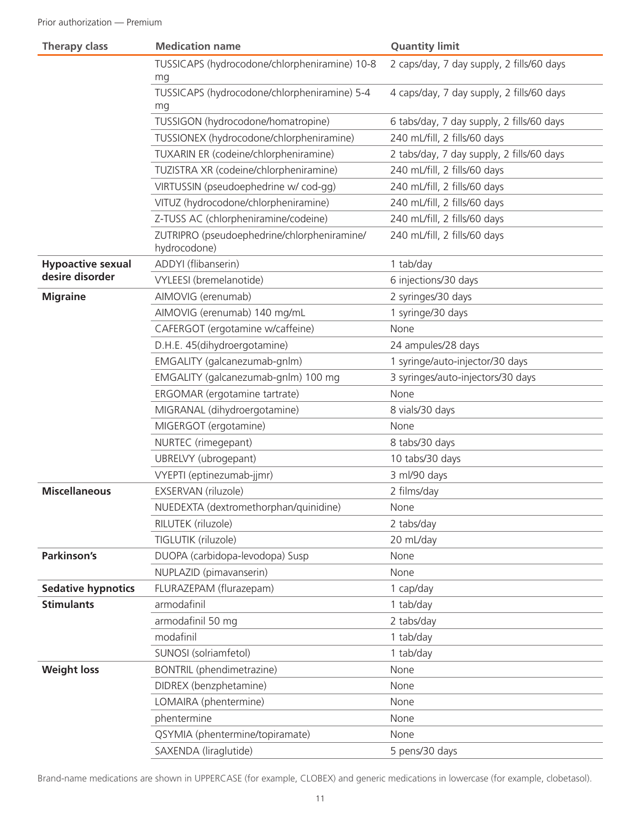| <b>Therapy class</b>      | <b>Medication name</b>                                      | <b>Quantity limit</b>                     |
|---------------------------|-------------------------------------------------------------|-------------------------------------------|
|                           | TUSSICAPS (hydrocodone/chlorpheniramine) 10-8<br>mg         | 2 caps/day, 7 day supply, 2 fills/60 days |
|                           | TUSSICAPS (hydrocodone/chlorpheniramine) 5-4<br>mg          | 4 caps/day, 7 day supply, 2 fills/60 days |
|                           | TUSSIGON (hydrocodone/homatropine)                          | 6 tabs/day, 7 day supply, 2 fills/60 days |
|                           | TUSSIONEX (hydrocodone/chlorpheniramine)                    | 240 mL/fill, 2 fills/60 days              |
|                           | TUXARIN ER (codeine/chlorpheniramine)                       | 2 tabs/day, 7 day supply, 2 fills/60 days |
|                           | TUZISTRA XR (codeine/chlorpheniramine)                      | 240 mL/fill, 2 fills/60 days              |
|                           | VIRTUSSIN (pseudoephedrine w/ cod-gg)                       | 240 mL/fill, 2 fills/60 days              |
|                           | VITUZ (hydrocodone/chlorpheniramine)                        | 240 mL/fill, 2 fills/60 days              |
|                           | Z-TUSS AC (chlorpheniramine/codeine)                        | 240 mL/fill, 2 fills/60 days              |
|                           | ZUTRIPRO (pseudoephedrine/chlorpheniramine/<br>hydrocodone) | 240 mL/fill, 2 fills/60 days              |
| <b>Hypoactive sexual</b>  | ADDYI (flibanserin)                                         | 1 tab/day                                 |
| desire disorder           | VYLEESI (bremelanotide)                                     | 6 injections/30 days                      |
| <b>Migraine</b>           | AIMOVIG (erenumab)                                          | 2 syringes/30 days                        |
|                           | AIMOVIG (erenumab) 140 mg/mL                                | 1 syringe/30 days                         |
|                           | CAFERGOT (ergotamine w/caffeine)                            | None                                      |
|                           | D.H.E. 45(dihydroergotamine)                                | 24 ampules/28 days                        |
|                           | EMGALITY (galcanezumab-gnlm)                                | 1 syringe/auto-injector/30 days           |
|                           | EMGALITY (galcanezumab-gnlm) 100 mg                         | 3 syringes/auto-injectors/30 days         |
|                           | ERGOMAR (ergotamine tartrate)                               | None                                      |
|                           | MIGRANAL (dihydroergotamine)                                | 8 vials/30 days                           |
|                           | MIGERGOT (ergotamine)                                       | None                                      |
|                           | NURTEC (rimegepant)                                         | 8 tabs/30 days                            |
|                           | UBRELVY (ubrogepant)                                        | 10 tabs/30 days                           |
|                           | VYEPTI (eptinezumab-jjmr)                                   | 3 ml/90 days                              |
| <b>Miscellaneous</b>      | EXSERVAN (riluzole)                                         | 2 films/day                               |
|                           | NUEDEXTA (dextromethorphan/quinidine)                       | None                                      |
|                           | RILUTEK (riluzole)                                          | 2 tabs/day                                |
|                           | TIGLUTIK (riluzole)                                         | 20 mL/day                                 |
| Parkinson's               | DUOPA (carbidopa-levodopa) Susp                             | None                                      |
|                           | NUPLAZID (pimavanserin)                                     | None                                      |
| <b>Sedative hypnotics</b> | FLURAZEPAM (flurazepam)                                     | 1 cap/day                                 |
| <b>Stimulants</b>         | armodafinil                                                 | 1 tab/day                                 |
|                           | armodafinil 50 mg                                           | 2 tabs/day                                |
|                           | modafinil                                                   | 1 tab/day                                 |
|                           | SUNOSI (solriamfetol)                                       | 1 tab/day                                 |
| <b>Weight loss</b>        | BONTRIL (phendimetrazine)                                   | None                                      |
|                           | DIDREX (benzphetamine)                                      | None                                      |
|                           | LOMAIRA (phentermine)                                       | None                                      |
|                           | phentermine                                                 | None                                      |
|                           | QSYMIA (phentermine/topiramate)                             | None                                      |
|                           | SAXENDA (liraglutide)                                       | 5 pens/30 days                            |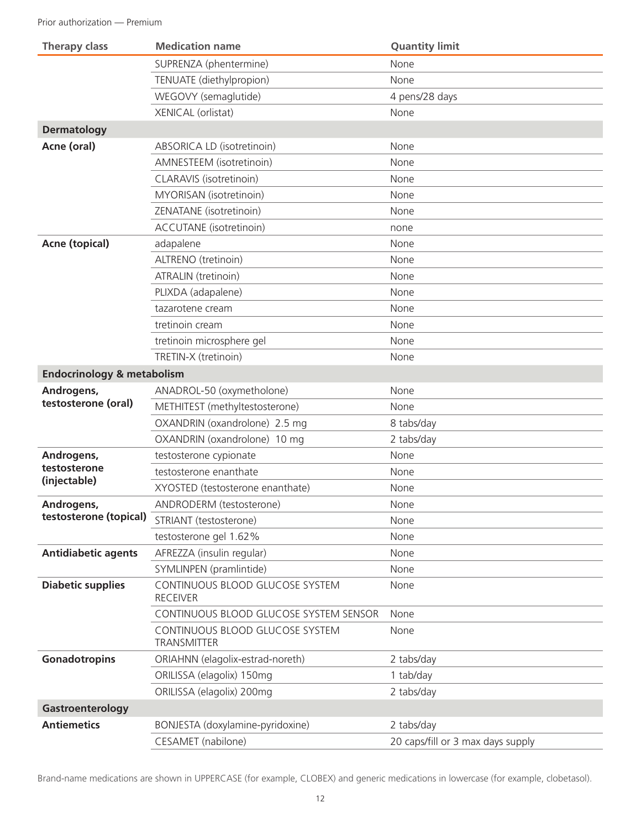| <b>Therapy class</b>                  | <b>Medication name</b>                                | <b>Quantity limit</b>             |
|---------------------------------------|-------------------------------------------------------|-----------------------------------|
|                                       | SUPRENZA (phentermine)                                | None                              |
|                                       | TENUATE (diethylpropion)                              | None                              |
|                                       | WEGOVY (semaglutide)                                  | 4 pens/28 days                    |
|                                       | <b>XENICAL</b> (orlistat)                             | None                              |
| <b>Dermatology</b>                    |                                                       |                                   |
| Acne (oral)                           | ABSORICA LD (isotretinoin)                            | None                              |
|                                       | AMNESTEEM (isotretinoin)                              | None                              |
|                                       | CLARAVIS (isotretinoin)                               | None                              |
|                                       | MYORISAN (isotretinoin)                               | None                              |
|                                       | ZENATANE (isotretinoin)                               | None                              |
|                                       | ACCUTANE (isotretinoin)                               | none                              |
| <b>Acne (topical)</b>                 | adapalene                                             | None                              |
|                                       | ALTRENO (tretinoin)                                   | None                              |
|                                       | ATRALIN (tretinoin)                                   | None                              |
|                                       | PLIXDA (adapalene)                                    | None                              |
|                                       | tazarotene cream                                      | None                              |
|                                       | tretinoin cream                                       | None                              |
|                                       | tretinoin microsphere gel                             | None                              |
|                                       | TRETIN-X (tretinoin)                                  | None                              |
| <b>Endocrinology &amp; metabolism</b> |                                                       |                                   |
| Androgens,                            | ANADROL-50 (oxymetholone)                             | None                              |
| testosterone (oral)                   | METHITEST (methyltestosterone)                        | None                              |
|                                       | OXANDRIN (oxandrolone) 2.5 mg                         | 8 tabs/day                        |
|                                       | OXANDRIN (oxandrolone) 10 mg                          | 2 tabs/day                        |
| Androgens,                            | testosterone cypionate                                | None                              |
| testosterone                          | testosterone enanthate                                | None                              |
| (injectable)                          | XYOSTED (testosterone enanthate)                      | None                              |
| Androgens,                            | ANDRODERM (testosterone)                              | None                              |
| testosterone (topical)                | STRIANT (testosterone)                                | None                              |
|                                       | testosterone gel 1.62%                                | None                              |
| <b>Antidiabetic agents</b>            | AFREZZA (insulin regular)                             | None                              |
|                                       | SYMLINPEN (pramlintide)                               | None                              |
| <b>Diabetic supplies</b>              | CONTINUOUS BLOOD GLUCOSE SYSTEM<br><b>RECEIVER</b>    | None                              |
|                                       | CONTINUOUS BLOOD GLUCOSE SYSTEM SENSOR                | None                              |
|                                       | CONTINUOUS BLOOD GLUCOSE SYSTEM<br><b>TRANSMITTER</b> | None                              |
| Gonadotropins                         | ORIAHNN (elagolix-estrad-noreth)                      | 2 tabs/day                        |
|                                       | ORILISSA (elagolix) 150mg                             | 1 tab/day                         |
|                                       | ORILISSA (elagolix) 200mg                             | 2 tabs/day                        |
| Gastroenterology                      |                                                       |                                   |
| <b>Antiemetics</b>                    | BONJESTA (doxylamine-pyridoxine)                      | 2 tabs/day                        |
|                                       | CESAMET (nabilone)                                    | 20 caps/fill or 3 max days supply |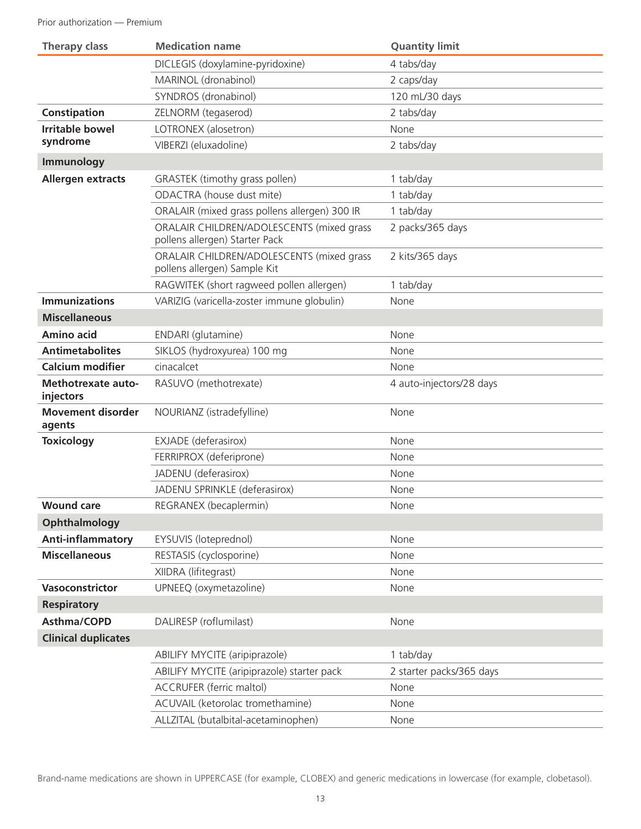| <b>Therapy class</b>                   | <b>Medication name</b>                                                      | <b>Quantity limit</b>    |
|----------------------------------------|-----------------------------------------------------------------------------|--------------------------|
|                                        | DICLEGIS (doxylamine-pyridoxine)                                            | 4 tabs/day               |
|                                        | MARINOL (dronabinol)                                                        | 2 caps/day               |
|                                        | SYNDROS (dronabinol)                                                        | 120 mL/30 days           |
| Constipation                           | ZELNORM (tegaserod)                                                         | 2 tabs/day               |
| <b>Irritable bowel</b>                 | LOTRONEX (alosetron)                                                        | None                     |
| syndrome                               | VIBERZI (eluxadoline)                                                       | 2 tabs/day               |
| Immunology                             |                                                                             |                          |
| <b>Allergen extracts</b>               | GRASTEK (timothy grass pollen)                                              | 1 tab/day                |
|                                        | ODACTRA (house dust mite)                                                   | 1 tab/day                |
|                                        | ORALAIR (mixed grass pollens allergen) 300 IR                               | 1 tab/day                |
|                                        | ORALAIR CHILDREN/ADOLESCENTS (mixed grass<br>pollens allergen) Starter Pack | 2 packs/365 days         |
|                                        | ORALAIR CHILDREN/ADOLESCENTS (mixed grass<br>pollens allergen) Sample Kit   | 2 kits/365 days          |
|                                        | RAGWITEK (short ragweed pollen allergen)                                    | 1 tab/day                |
| <b>Immunizations</b>                   | VARIZIG (varicella-zoster immune globulin)                                  | None                     |
| <b>Miscellaneous</b>                   |                                                                             |                          |
| <b>Amino acid</b>                      | ENDARI (glutamine)                                                          | None                     |
| <b>Antimetabolites</b>                 | SIKLOS (hydroxyurea) 100 mg                                                 | None                     |
| <b>Calcium modifier</b>                | cinacalcet                                                                  | None                     |
| <b>Methotrexate auto-</b><br>injectors | RASUVO (methotrexate)                                                       | 4 auto-injectors/28 days |
| <b>Movement disorder</b><br>agents     | NOURIANZ (istradefylline)                                                   | None                     |
| <b>Toxicology</b>                      | EXJADE (deferasirox)                                                        | None                     |
|                                        | FERRIPROX (deferiprone)                                                     | None                     |
|                                        | JADENU (deferasirox)                                                        | None                     |
|                                        | JADENU SPRINKLE (deferasirox)                                               | None                     |
| <b>Wound care</b>                      | REGRANEX (becaplermin)                                                      | None                     |
| Ophthalmology                          |                                                                             |                          |
| Anti-inflammatory                      | EYSUVIS (loteprednol)                                                       | None                     |
| <b>Miscellaneous</b>                   | RESTASIS (cyclosporine)                                                     | None                     |
|                                        | XIIDRA (lifitegrast)                                                        | None                     |
| Vasoconstrictor                        | UPNEEQ (oxymetazoline)                                                      | None                     |
| <b>Respiratory</b>                     |                                                                             |                          |
| Asthma/COPD                            | DALIRESP (roflumilast)                                                      | None                     |
| <b>Clinical duplicates</b>             |                                                                             |                          |
|                                        | ABILIFY MYCITE (aripiprazole)                                               | 1 tab/day                |
|                                        | ABILIFY MYCITE (aripiprazole) starter pack                                  | 2 starter packs/365 days |
|                                        | <b>ACCRUFER (ferric maltol)</b>                                             | None                     |
|                                        | ACUVAIL (ketorolac tromethamine)                                            | None                     |
|                                        | ALLZITAL (butalbital-acetaminophen)                                         | None                     |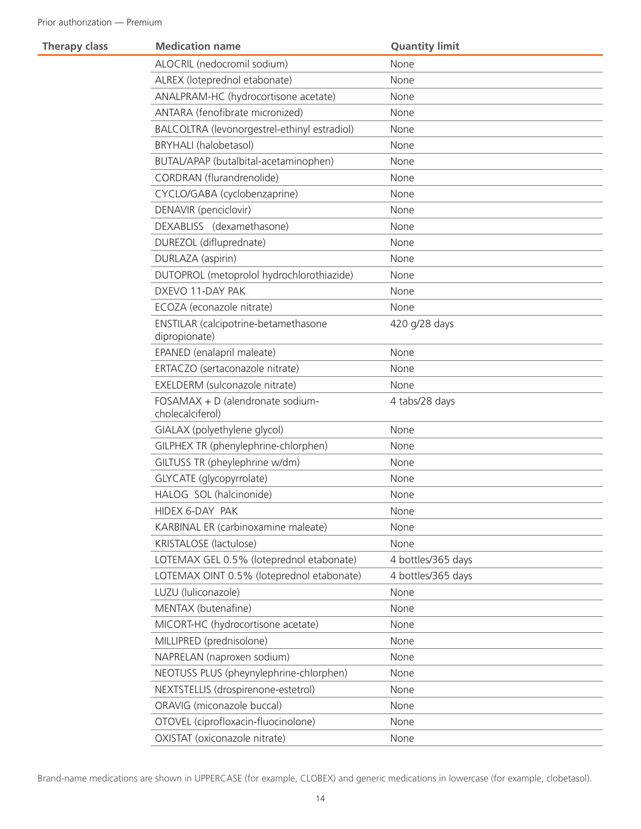| <b>Therapy class</b> | <b>Medication name</b>                                | <b>Quantity limit</b> |
|----------------------|-------------------------------------------------------|-----------------------|
|                      | ALOCRIL (nedocromil sodium)                           | None                  |
|                      | ALREX (loteprednol etabonate)                         | None                  |
|                      | ANALPRAM-HC (hydrocortisone acetate)                  | None                  |
|                      | ANTARA (fenofibrate micronized)                       | None                  |
|                      | BALCOLTRA (levonorgestrel-ethinyl estradiol)          | None                  |
|                      | <b>BRYHALI</b> (halobetasol)                          | None                  |
|                      | BUTAL/APAP (butalbital-acetaminophen)                 | None                  |
|                      | CORDRAN (flurandrenolide)                             | None                  |
|                      | CYCLO/GABA (cyclobenzaprine)                          | None                  |
|                      | DENAVIR (penciclovir)                                 | None                  |
|                      | DEXABLISS (dexamethasone)                             | None                  |
|                      | DUREZOL (difluprednate)                               | None                  |
|                      | DURLAZA (aspirin)                                     | None                  |
|                      | DUTOPROL (metoprolol hydrochlorothiazide)             | None                  |
|                      | DXEVO 11-DAY PAK                                      | None                  |
|                      | ECOZA (econazole nitrate)                             | None                  |
|                      | ENSTILAR (calcipotrine-betamethasone<br>dipropionate) | 420 g/28 days         |
|                      | EPANED (enalapril maleate)                            | None                  |
|                      | ERTACZO (sertaconazole nitrate)                       | None                  |
|                      | EXELDERM (sulconazole nitrate)                        | None                  |
|                      | FOSAMAX + D (alendronate sodium-<br>cholecalciferol)  | 4 tabs/28 days        |
|                      | GIALAX (polyethylene glycol)                          | None                  |
|                      | GILPHEX TR (phenylephrine-chlorphen)                  | None                  |
|                      | GILTUSS TR (pheylephrine w/dm)                        | None                  |
|                      | GLYCATE (glycopyrrolate)                              | None                  |
|                      | HALOG SOL (halcinonide)                               | None                  |
|                      | HIDEX 6-DAY PAK                                       | None                  |
|                      | KARBINAL ER (carbinoxamine maleate)                   | None                  |
|                      | KRISTALOSE (lactulose)                                | None                  |
|                      | LOTEMAX GEL 0.5% (loteprednol etabonate)              | 4 bottles/365 days    |
|                      | LOTEMAX OINT 0.5% (loteprednol etabonate)             | 4 bottles/365 days    |
|                      | LUZU (luliconazole)                                   | None                  |
|                      | MENTAX (butenafine)                                   | None                  |
|                      | MICORT-HC (hydrocortisone acetate)                    | None                  |
|                      | MILLIPRED (prednisolone)                              | None                  |
|                      | NAPRELAN (naproxen sodium)                            | None                  |
|                      | NEOTUSS PLUS (pheynylephrine-chlorphen)               | None                  |
|                      | NEXTSTELLIS (drospirenone-estetrol)                   | None                  |
|                      | ORAVIG (miconazole buccal)                            | None                  |
|                      | OTOVEL (ciprofloxacin-fluocinolone)                   | None                  |
|                      | OXISTAT (oxiconazole nitrate)                         | None                  |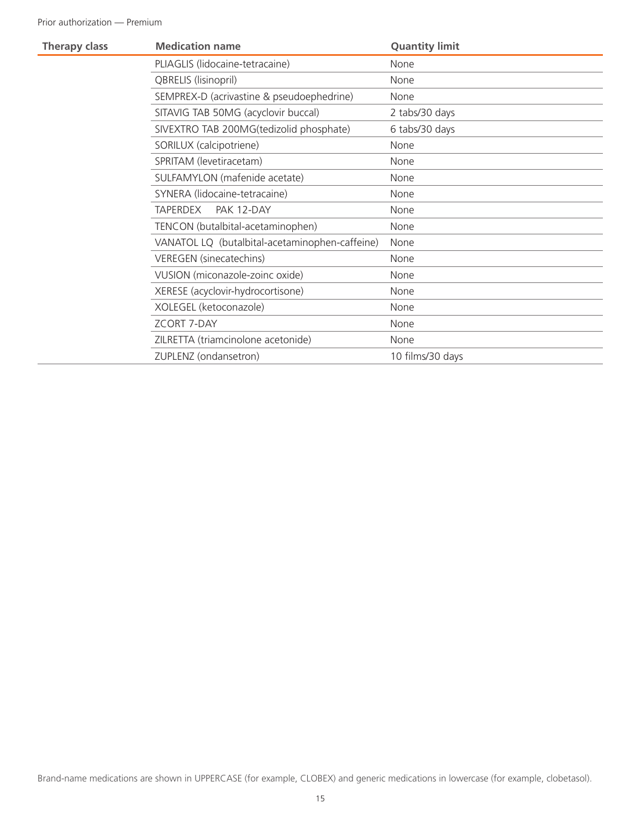| <b>Therapy class</b> | <b>Medication name</b>                         | <b>Quantity limit</b> |
|----------------------|------------------------------------------------|-----------------------|
|                      | PLIAGLIS (lidocaine-tetracaine)                | None                  |
|                      | QBRELIS (lisinopril)                           | None                  |
|                      | SEMPREX-D (acrivastine & pseudoephedrine)      | None                  |
|                      | SITAVIG TAB 50MG (acyclovir buccal)            | 2 tabs/30 days        |
|                      | SIVEXTRO TAB 200MG(tedizolid phosphate)        | 6 tabs/30 days        |
|                      | SORILUX (calcipotriene)                        | None                  |
|                      | SPRITAM (levetiracetam)                        | None                  |
|                      | SULFAMYLON (mafenide acetate)                  | None                  |
|                      | SYNERA (lidocaine-tetracaine)                  | None                  |
|                      | PAK 12-DAY<br><b>TAPERDEX</b>                  | None                  |
|                      | TENCON (butalbital-acetaminophen)              | None                  |
|                      | VANATOL LQ (butalbital-acetaminophen-caffeine) | None                  |
|                      | <b>VEREGEN</b> (sinecatechins)                 | None                  |
|                      | VUSION (miconazole-zoinc oxide)                | None                  |
|                      | XERESE (acyclovir-hydrocortisone)              | None                  |
|                      | XOLEGEL (ketoconazole)                         | None                  |
|                      | <b>ZCORT 7-DAY</b>                             | None                  |
|                      | ZILRETTA (triamcinolone acetonide)             | None                  |
|                      | ZUPLENZ (ondansetron)                          | 10 films/30 days      |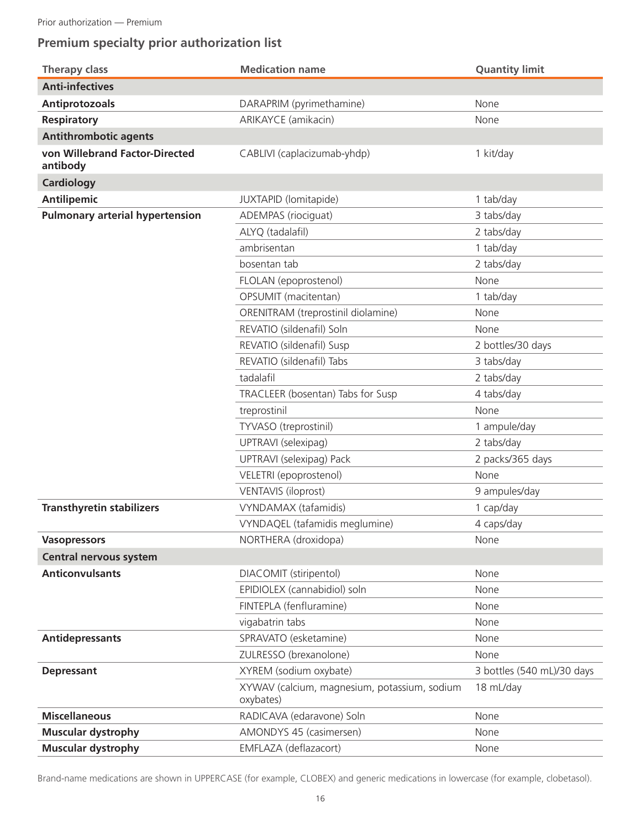# **Premium specialty prior authorization list**

| <b>Therapy class</b>                       | <b>Medication name</b>                                    | <b>Quantity limit</b>      |
|--------------------------------------------|-----------------------------------------------------------|----------------------------|
| <b>Anti-infectives</b>                     |                                                           |                            |
| <b>Antiprotozoals</b>                      | DARAPRIM (pyrimethamine)                                  | None                       |
| <b>Respiratory</b>                         | ARIKAYCE (amikacin)                                       | None                       |
| <b>Antithrombotic agents</b>               |                                                           |                            |
| von Willebrand Factor-Directed<br>antibody | CABLIVI (caplacizumab-yhdp)                               | 1 kit/day                  |
| <b>Cardiology</b>                          |                                                           |                            |
| <b>Antilipemic</b>                         | JUXTAPID (lomitapide)                                     | 1 tab/day                  |
| <b>Pulmonary arterial hypertension</b>     | ADEMPAS (riociguat)                                       | 3 tabs/day                 |
|                                            | ALYQ (tadalafil)                                          | 2 tabs/day                 |
|                                            | ambrisentan                                               | 1 tab/day                  |
|                                            | bosentan tab                                              | 2 tabs/day                 |
|                                            | FLOLAN (epoprostenol)                                     | None                       |
|                                            | OPSUMIT (macitentan)                                      | 1 tab/day                  |
|                                            | ORENITRAM (treprostinil diolamine)                        | None                       |
|                                            | REVATIO (sildenafil) Soln                                 | None                       |
|                                            | REVATIO (sildenafil) Susp                                 | 2 bottles/30 days          |
|                                            | REVATIO (sildenafil) Tabs                                 | 3 tabs/day                 |
|                                            | tadalafil                                                 | 2 tabs/day                 |
|                                            | TRACLEER (bosentan) Tabs for Susp                         | 4 tabs/day                 |
|                                            | treprostinil                                              | None                       |
|                                            | TYVASO (treprostinil)                                     | 1 ampule/day               |
|                                            | UPTRAVI (selexipag)                                       | 2 tabs/day                 |
|                                            | UPTRAVI (selexipag) Pack                                  | 2 packs/365 days           |
|                                            | VELETRI (epoprostenol)                                    | None                       |
|                                            | <b>VENTAVIS (iloprost)</b>                                | 9 ampules/day              |
| <b>Transthyretin stabilizers</b>           | VYNDAMAX (tafamidis)                                      | 1 cap/day                  |
|                                            | VYNDAQEL (tafamidis meglumine)                            | 4 caps/day                 |
| <b>Vasopressors</b>                        | NORTHERA (droxidopa)                                      | None                       |
| <b>Central nervous system</b>              |                                                           |                            |
| <b>Anticonvulsants</b>                     | DIACOMIT (stiripentol)                                    | None                       |
|                                            | EPIDIOLEX (cannabidiol) soln                              | None                       |
|                                            | FINTEPLA (fenfluramine)                                   | None                       |
|                                            | vigabatrin tabs                                           | None                       |
| <b>Antidepressants</b>                     | SPRAVATO (esketamine)                                     | None                       |
|                                            | ZULRESSO (brexanolone)                                    | None                       |
| <b>Depressant</b>                          | XYREM (sodium oxybate)                                    | 3 bottles (540 mL)/30 days |
|                                            | XYWAV (calcium, magnesium, potassium, sodium<br>oxybates) | 18 mL/day                  |
| <b>Miscellaneous</b>                       | RADICAVA (edaravone) Soln                                 | None                       |
| <b>Muscular dystrophy</b>                  | AMONDYS 45 (casimersen)                                   | None                       |
| <b>Muscular dystrophy</b>                  | EMFLAZA (deflazacort)                                     | None                       |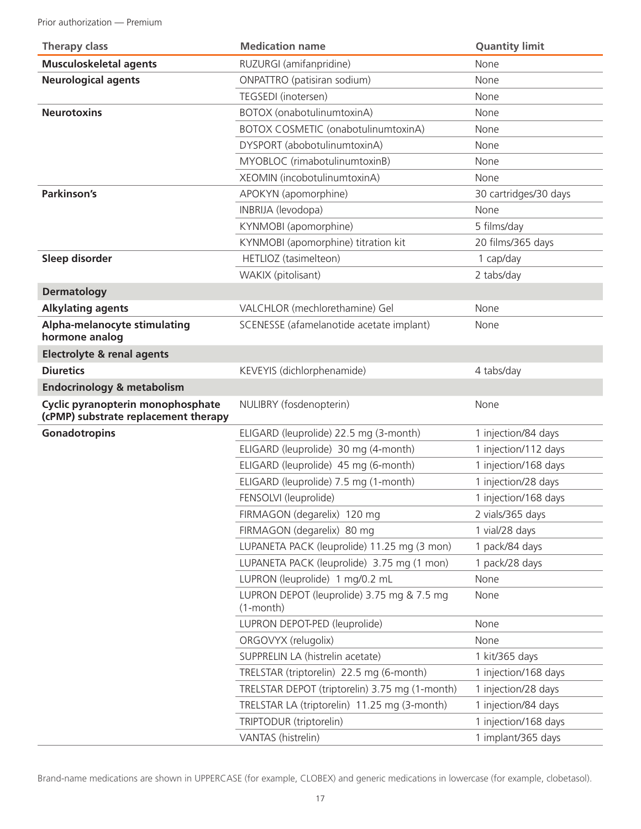Prior authorization — Premium

| <b>Therapy class</b>                                                      | <b>Medication name</b>                                        | <b>Quantity limit</b> |
|---------------------------------------------------------------------------|---------------------------------------------------------------|-----------------------|
| <b>Musculoskeletal agents</b>                                             | RUZURGI (amifanpridine)                                       | None                  |
| <b>Neurological agents</b>                                                | ONPATTRO (patisiran sodium)                                   | None                  |
|                                                                           | TEGSEDI (inotersen)                                           | None                  |
| <b>Neurotoxins</b>                                                        | BOTOX (onabotulinumtoxinA)                                    | None                  |
|                                                                           | BOTOX COSMETIC (onabotulinumtoxinA)                           | None                  |
|                                                                           | DYSPORT (abobotulinumtoxinA)                                  | None                  |
|                                                                           | MYOBLOC (rimabotulinumtoxinB)                                 | None                  |
|                                                                           | XEOMIN (incobotulinumtoxinA)                                  | None                  |
| Parkinson's                                                               | APOKYN (apomorphine)                                          | 30 cartridges/30 days |
|                                                                           | INBRIJA (levodopa)                                            | None                  |
|                                                                           | KYNMOBI (apomorphine)                                         | 5 films/day           |
|                                                                           | KYNMOBI (apomorphine) titration kit                           | 20 films/365 days     |
| Sleep disorder                                                            | HETLIOZ (tasimelteon)                                         | 1 cap/day             |
|                                                                           | WAKIX (pitolisant)                                            | 2 tabs/day            |
| <b>Dermatology</b>                                                        |                                                               |                       |
| <b>Alkylating agents</b>                                                  | VALCHLOR (mechlorethamine) Gel                                | None                  |
| Alpha-melanocyte stimulating<br>hormone analog                            | SCENESSE (afamelanotide acetate implant)                      | None                  |
| <b>Electrolyte &amp; renal agents</b>                                     |                                                               |                       |
| <b>Diuretics</b>                                                          | KEVEYIS (dichlorphenamide)                                    | 4 tabs/day            |
| <b>Endocrinology &amp; metabolism</b>                                     |                                                               |                       |
| Cyclic pyranopterin monophosphate<br>(cPMP) substrate replacement therapy | NULIBRY (fosdenopterin)                                       | None                  |
| Gonadotropins                                                             | ELIGARD (leuprolide) 22.5 mg (3-month)                        | 1 injection/84 days   |
|                                                                           | ELIGARD (leuprolide) 30 mg (4-month)                          | 1 injection/112 days  |
|                                                                           | ELIGARD (leuprolide) 45 mg (6-month)                          | 1 injection/168 days  |
|                                                                           | ELIGARD (leuprolide) 7.5 mg (1-month)                         | 1 injection/28 days   |
|                                                                           | FENSOLVI (leuprolide)                                         | 1 injection/168 days  |
|                                                                           | FIRMAGON (degarelix) 120 mg                                   | 2 vials/365 days      |
|                                                                           | FIRMAGON (degarelix) 80 mg                                    | 1 vial/28 days        |
|                                                                           | LUPANETA PACK (leuprolide) 11.25 mg (3 mon)                   | 1 pack/84 days        |
|                                                                           | LUPANETA PACK (leuprolide) 3.75 mg (1 mon)                    | 1 pack/28 days        |
|                                                                           | LUPRON (leuprolide) 1 mg/0.2 mL                               | None                  |
|                                                                           | LUPRON DEPOT (leuprolide) 3.75 mg & 7.5 mg<br>$(1$ -month $)$ | None                  |
|                                                                           | LUPRON DEPOT-PED (leuprolide)                                 | None                  |
|                                                                           | ORGOVYX (relugolix)                                           | None                  |
|                                                                           | SUPPRELIN LA (histrelin acetate)                              | 1 kit/365 days        |
|                                                                           | TRELSTAR (triptorelin) 22.5 mg (6-month)                      | 1 injection/168 days  |
|                                                                           | TRELSTAR DEPOT (triptorelin) 3.75 mg (1-month)                | 1 injection/28 days   |
|                                                                           | TRELSTAR LA (triptorelin) 11.25 mg (3-month)                  | 1 injection/84 days   |
|                                                                           | TRIPTODUR (triptorelin)                                       | 1 injection/168 days  |
|                                                                           | VANTAS (histrelin)                                            | 1 implant/365 days    |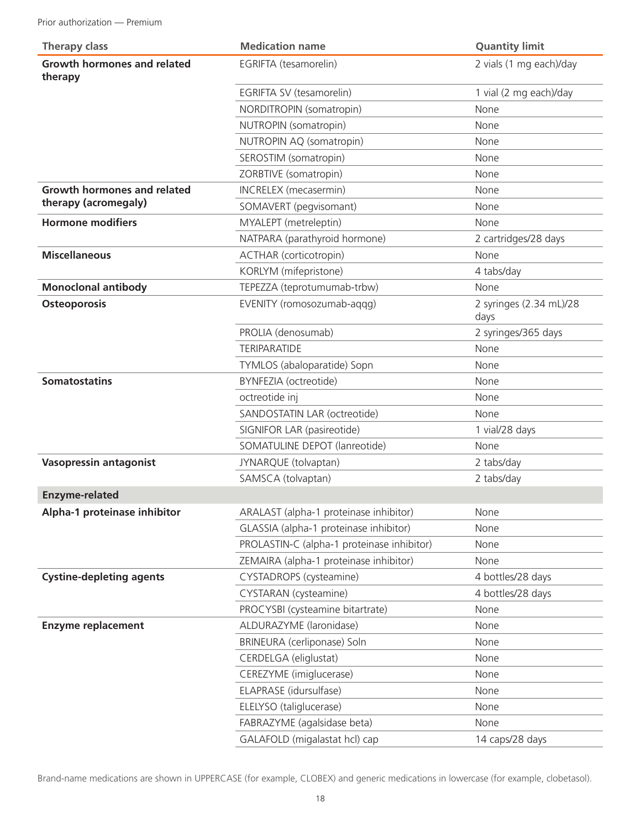| <b>Therapy class</b>                          | <b>Medication name</b>                     | <b>Quantity limit</b>           |
|-----------------------------------------------|--------------------------------------------|---------------------------------|
| <b>Growth hormones and related</b><br>therapy | EGRIFTA (tesamorelin)                      | 2 vials (1 mg each)/day         |
|                                               | EGRIFTA SV (tesamorelin)                   | 1 vial (2 mg each)/day          |
|                                               | NORDITROPIN (somatropin)                   | None                            |
|                                               | NUTROPIN (somatropin)                      | None                            |
|                                               | NUTROPIN AQ (somatropin)                   | None                            |
|                                               | SEROSTIM (somatropin)                      | None                            |
|                                               | ZORBTIVE (somatropin)                      | None                            |
| Growth hormones and related                   | <b>INCRELEX</b> (mecasermin)               | None                            |
| therapy (acromegaly)                          | SOMAVERT (pegvisomant)                     | None                            |
| <b>Hormone modifiers</b>                      | MYALEPT (metreleptin)                      | None                            |
|                                               | NATPARA (parathyroid hormone)              | 2 cartridges/28 days            |
| <b>Miscellaneous</b>                          | ACTHAR (corticotropin)                     | None                            |
|                                               | KORLYM (mifepristone)                      | 4 tabs/day                      |
| <b>Monoclonal antibody</b>                    | TEPEZZA (teprotumumab-trbw)                | None                            |
| Osteoporosis                                  | EVENITY (romosozumab-aqqq)                 | 2 syringes (2.34 mL)/28<br>days |
|                                               | PROLIA (denosumab)                         | 2 syringes/365 days             |
|                                               | <b>TERIPARATIDE</b>                        | None                            |
|                                               | TYMLOS (abaloparatide) Sopn                | None                            |
| <b>Somatostatins</b>                          | BYNFEZIA (octreotide)                      | None                            |
|                                               | octreotide inj                             | None                            |
|                                               | SANDOSTATIN LAR (octreotide)               | None                            |
|                                               | SIGNIFOR LAR (pasireotide)                 | 1 vial/28 days                  |
|                                               | SOMATULINE DEPOT (lanreotide)              | None                            |
| <b>Vasopressin antagonist</b>                 | JYNARQUE (tolvaptan)                       | 2 tabs/day                      |
|                                               | SAMSCA (tolvaptan)                         | 2 tabs/day                      |
| <b>Enzyme-related</b>                         |                                            |                                 |
| Alpha-1 proteinase inhibitor                  | ARALAST (alpha-1 proteinase inhibitor)     | None                            |
|                                               | GLASSIA (alpha-1 proteinase inhibitor)     | None                            |
|                                               | PROLASTIN-C (alpha-1 proteinase inhibitor) | None                            |
|                                               | ZEMAIRA (alpha-1 proteinase inhibitor)     | None                            |
| <b>Cystine-depleting agents</b>               | CYSTADROPS (cysteamine)                    | 4 bottles/28 days               |
|                                               | CYSTARAN (cysteamine)                      | 4 bottles/28 days               |
|                                               | PROCYSBI (cysteamine bitartrate)           | None                            |
| <b>Enzyme replacement</b>                     | ALDURAZYME (laronidase)                    | None                            |
|                                               | BRINEURA (cerliponase) Soln                | None                            |
|                                               | CERDELGA (eliglustat)                      | None                            |
|                                               | CEREZYME (imiglucerase)                    | None                            |
|                                               | ELAPRASE (idursulfase)                     | None                            |
|                                               | ELELYSO (taliglucerase)                    | None                            |
|                                               | FABRAZYME (agalsidase beta)                | None                            |
|                                               | GALAFOLD (migalastat hcl) cap              | 14 caps/28 days                 |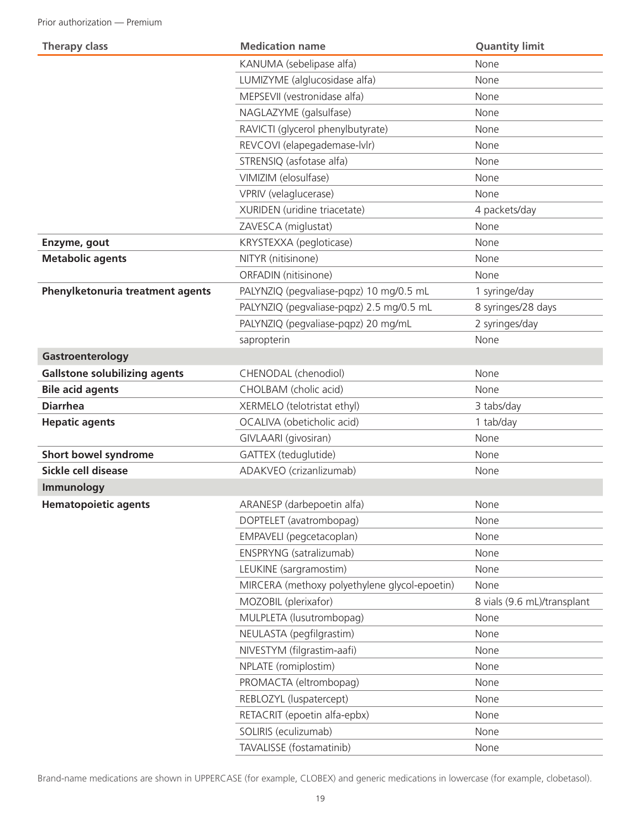| <b>Therapy class</b>                 | <b>Medication name</b>                        | <b>Quantity limit</b>       |
|--------------------------------------|-----------------------------------------------|-----------------------------|
|                                      | KANUMA (sebelipase alfa)                      | None                        |
|                                      | LUMIZYME (alglucosidase alfa)                 | None                        |
|                                      | MEPSEVII (vestronidase alfa)                  | None                        |
|                                      | NAGLAZYME (galsulfase)                        | None                        |
|                                      | RAVICTI (glycerol phenylbutyrate)             | None                        |
|                                      | REVCOVI (elapegademase-lvlr)                  | None                        |
|                                      | STRENSIQ (asfotase alfa)                      | None                        |
|                                      | VIMIZIM (elosulfase)                          | None                        |
|                                      | VPRIV (velaglucerase)                         | None                        |
|                                      | XURIDEN (uridine triacetate)                  | 4 packets/day               |
|                                      | ZAVESCA (miglustat)                           | None                        |
| Enzyme, gout                         | KRYSTEXXA (pegloticase)                       | None                        |
| <b>Metabolic agents</b>              | NITYR (nitisinone)                            | None                        |
|                                      | ORFADIN (nitisinone)                          | None                        |
| Phenylketonuria treatment agents     | PALYNZIQ (pegvaliase-pqpz) 10 mg/0.5 mL       | 1 syringe/day               |
|                                      | PALYNZIQ (pegvaliase-pqpz) 2.5 mg/0.5 mL      | 8 syringes/28 days          |
|                                      | PALYNZIQ (pegvaliase-pqpz) 20 mg/mL           | 2 syringes/day              |
|                                      | sapropterin                                   | None                        |
| Gastroenterology                     |                                               |                             |
| <b>Gallstone solubilizing agents</b> | CHENODAL (chenodiol)                          | None                        |
| <b>Bile acid agents</b>              | CHOLBAM (cholic acid)                         | None                        |
| <b>Diarrhea</b>                      | XERMELO (telotristat ethyl)                   | 3 tabs/day                  |
| <b>Hepatic agents</b>                | OCALIVA (obeticholic acid)                    | 1 tab/day                   |
|                                      | GIVLAARI (givosiran)                          | None                        |
| Short bowel syndrome                 | GATTEX (teduglutide)                          | None                        |
| Sickle cell disease                  | ADAKVEO (crizanlizumab)                       | None                        |
| Immunology                           |                                               |                             |
| <b>Hematopoietic agents</b>          | ARANESP (darbepoetin alfa)                    | None                        |
|                                      | DOPTELET (avatrombopag)                       | None                        |
|                                      | EMPAVELI (pegcetacoplan)                      | None                        |
|                                      | ENSPRYNG (satralizumab)                       | None                        |
|                                      | LEUKINE (sargramostim)                        | None                        |
|                                      | MIRCERA (methoxy polyethylene glycol-epoetin) | None                        |
|                                      | MOZOBIL (plerixafor)                          | 8 vials (9.6 mL)/transplant |
|                                      | MULPLETA (lusutrombopaq)                      | None                        |
|                                      | NEULASTA (pegfilgrastim)                      | None                        |
|                                      | NIVESTYM (filgrastim-aafi)                    | None                        |
|                                      | NPLATE (romiplostim)                          | None                        |
|                                      | PROMACTA (eltrombopag)                        | None                        |
|                                      | REBLOZYL (luspatercept)                       | None                        |
|                                      | RETACRIT (epoetin alfa-epbx)                  | None                        |
|                                      | SOLIRIS (eculizumab)                          | None                        |
|                                      | TAVALISSE (fostamatinib)                      | None                        |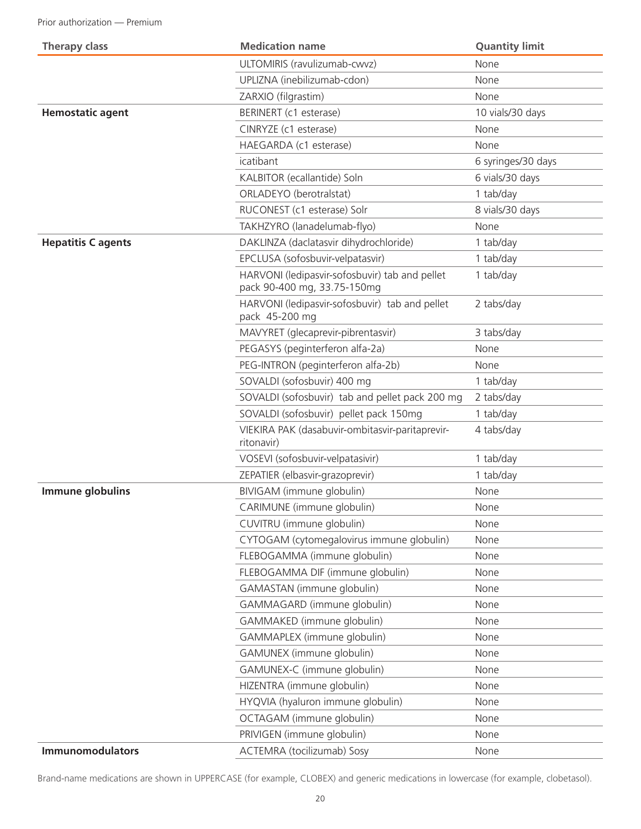| <b>Therapy class</b>      | <b>Medication name</b>                                                        | <b>Quantity limit</b> |
|---------------------------|-------------------------------------------------------------------------------|-----------------------|
|                           | ULTOMIRIS (ravulizumab-cwvz)                                                  | None                  |
|                           | UPLIZNA (inebilizumab-cdon)                                                   | None                  |
|                           | ZARXIO (filgrastim)                                                           | None                  |
| <b>Hemostatic agent</b>   | BERINERT (c1 esterase)                                                        | 10 vials/30 days      |
|                           | CINRYZE (c1 esterase)                                                         | None                  |
|                           | HAEGARDA (c1 esterase)                                                        | None                  |
|                           | icatibant                                                                     | 6 syringes/30 days    |
|                           | KALBITOR (ecallantide) Soln                                                   | 6 vials/30 days       |
|                           | ORLADEYO (berotralstat)                                                       | 1 tab/day             |
|                           | RUCONEST (c1 esterase) Solr                                                   | 8 vials/30 days       |
|                           | TAKHZYRO (lanadelumab-flyo)                                                   | None                  |
| <b>Hepatitis C agents</b> | DAKLINZA (daclatasvir dihydrochloride)                                        | 1 tab/day             |
|                           | EPCLUSA (sofosbuvir-velpatasvir)                                              | 1 tab/day             |
|                           | HARVONI (ledipasvir-sofosbuvir) tab and pellet<br>pack 90-400 mg, 33.75-150mg | 1 tab/day             |
|                           | HARVONI (ledipasvir-sofosbuvir) tab and pellet<br>pack 45-200 mg              | 2 tabs/day            |
|                           | MAVYRET (glecaprevir-pibrentasvir)                                            | 3 tabs/day            |
|                           | PEGASYS (peginterferon alfa-2a)                                               | None                  |
|                           | PEG-INTRON (peginterferon alfa-2b)                                            | None                  |
|                           | SOVALDI (sofosbuvir) 400 mg                                                   | 1 tab/day             |
|                           | SOVALDI (sofosbuvir) tab and pellet pack 200 mg                               | 2 tabs/day            |
|                           | SOVALDI (sofosbuvir) pellet pack 150mg                                        | 1 tab/day             |
|                           | VIEKIRA PAK (dasabuvir-ombitasvir-paritaprevir-<br>ritonavir)                 | 4 tabs/day            |
|                           | VOSEVI (sofosbuvir-velpatasivir)                                              | 1 tab/day             |
|                           | ZEPATIER (elbasvir-grazoprevir)                                               | 1 tab/day             |
| Immune globulins          | BIVIGAM (immune globulin)                                                     | None                  |
|                           | CARIMUNE (immune globulin)                                                    | None                  |
|                           | CUVITRU (immune globulin)                                                     | None                  |
|                           | CYTOGAM (cytomegalovirus immune globulin)                                     | None                  |
|                           | FLEBOGAMMA (immune globulin)                                                  | None                  |
|                           | FLEBOGAMMA DIF (immune globulin)                                              | None                  |
|                           | GAMASTAN (immune globulin)                                                    | None                  |
|                           | GAMMAGARD (immune globulin)                                                   | None                  |
|                           | GAMMAKED (immune globulin)                                                    | None                  |
|                           | GAMMAPLEX (immune globulin)                                                   | None                  |
|                           | GAMUNEX (immune globulin)                                                     | None                  |
|                           | GAMUNEX-C (immune globulin)                                                   | None                  |
|                           | HIZENTRA (immune globulin)                                                    | None                  |
|                           | HYQVIA (hyaluron immune globulin)                                             | None                  |
|                           | OCTAGAM (immune globulin)                                                     | None                  |
|                           | PRIVIGEN (immune globulin)                                                    | None                  |
| <b>Immunomodulators</b>   | ACTEMRA (tocilizumab) Sosy                                                    | None                  |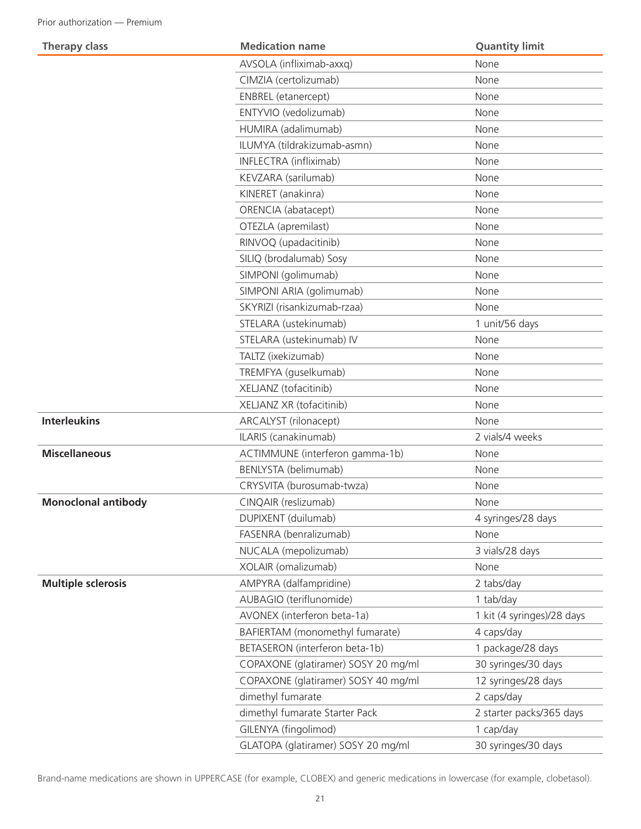| <b>Therapy class</b>       | <b>Medication name</b>              | <b>Quantity limit</b>      |
|----------------------------|-------------------------------------|----------------------------|
|                            | AVSOLA (infliximab-axxq)            | None                       |
|                            | CIMZIA (certolizumab)               | None                       |
|                            | ENBREL (etanercept)                 | None                       |
|                            | ENTYVIO (vedolizumab)               | None                       |
|                            | HUMIRA (adalimumab)                 | None                       |
|                            | ILUMYA (tildrakizumab-asmn)         | None                       |
|                            | INFLECTRA (infliximab)              | None                       |
|                            | KEVZARA (sarilumab)                 | None                       |
|                            | KINERET (anakinra)                  | None                       |
|                            | ORENCIA (abatacept)                 | None                       |
|                            | OTEZLA (apremilast)                 | None                       |
|                            | RINVOQ (upadacitinib)               | None                       |
|                            | SILIQ (brodalumab) Sosy             | None                       |
|                            | SIMPONI (golimumab)                 | None                       |
|                            | SIMPONI ARIA (golimumab)            | None                       |
|                            | SKYRIZI (risankizumab-rzaa)         | None                       |
|                            | STELARA (ustekinumab)               | 1 unit/56 days             |
|                            | STELARA (ustekinumab) IV            | None                       |
|                            | TALTZ (ixekizumab)                  | None                       |
|                            | TREMFYA (guselkumab)                | None                       |
|                            | XELJANZ (tofacitinib)               | None                       |
|                            | XELJANZ XR (tofacitinib)            | None                       |
| <b>Interleukins</b>        | ARCALYST (rilonacept)               | None                       |
|                            | ILARIS (canakinumab)                | 2 vials/4 weeks            |
| <b>Miscellaneous</b>       | ACTIMMUNE (interferon gamma-1b)     | None                       |
|                            | BENLYSTA (belimumab)                | None                       |
|                            | CRYSVITA (burosumab-twza)           | None                       |
| <b>Monoclonal antibody</b> | CINQAIR (reslizumab)                | <b>None</b>                |
|                            | DUPIXENT (duilumab)                 | 4 syringes/28 days         |
|                            | FASENRA (benralizumab)              | None                       |
|                            | NUCALA (mepolizumab)                | 3 vials/28 days            |
|                            | XOLAIR (omalizumab)                 | None                       |
| <b>Multiple sclerosis</b>  | AMPYRA (dalfampridine)              | 2 tabs/day                 |
|                            | AUBAGIO (teriflunomide)             | 1 tab/day                  |
|                            | AVONEX (interferon beta-1a)         | 1 kit (4 syringes)/28 days |
|                            | BAFIERTAM (monomethyl fumarate)     | 4 caps/day                 |
|                            | BETASERON (interferon beta-1b)      | 1 package/28 days          |
|                            | COPAXONE (glatiramer) SOSY 20 mg/ml | 30 syringes/30 days        |
|                            | COPAXONE (glatiramer) SOSY 40 mg/ml | 12 syringes/28 days        |
|                            | dimethyl fumarate                   | 2 caps/day                 |
|                            | dimethyl fumarate Starter Pack      | 2 starter packs/365 days   |
|                            | GILENYA (fingolimod)                | 1 cap/day                  |
|                            | GLATOPA (glatiramer) SOSY 20 mg/ml  | 30 syringes/30 days        |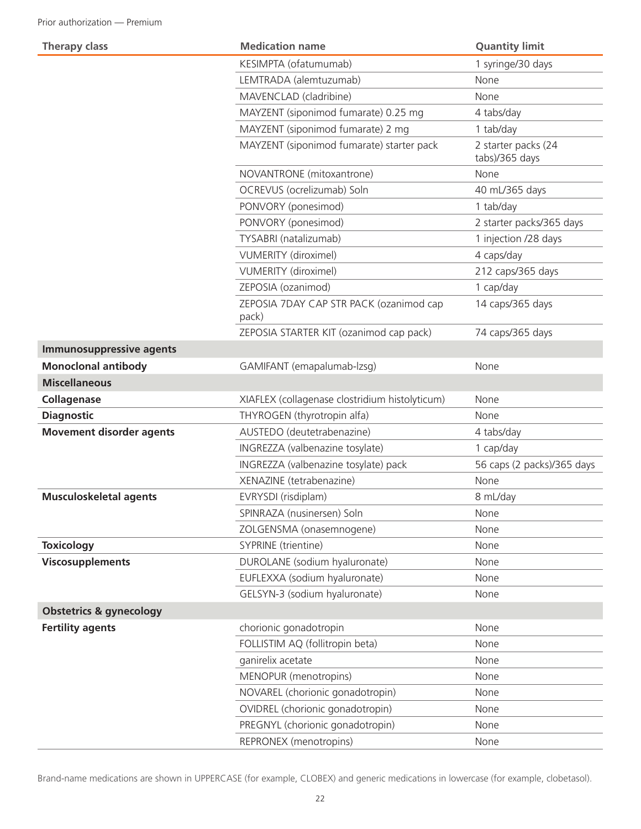| <b>Therapy class</b>               | <b>Medication name</b>                           | <b>Quantity limit</b>                 |
|------------------------------------|--------------------------------------------------|---------------------------------------|
|                                    | KESIMPTA (ofatumumab)                            | 1 syringe/30 days                     |
|                                    | LEMTRADA (alemtuzumab)                           | None                                  |
|                                    | MAVENCLAD (cladribine)                           | None                                  |
|                                    | MAYZENT (siponimod fumarate) 0.25 mg             | 4 tabs/day                            |
|                                    | MAYZENT (siponimod fumarate) 2 mg                | 1 tab/day                             |
|                                    | MAYZENT (siponimod fumarate) starter pack        | 2 starter packs (24<br>tabs)/365 days |
|                                    | NOVANTRONE (mitoxantrone)                        | None                                  |
|                                    | OCREVUS (ocrelizumab) Soln                       | 40 mL/365 days                        |
|                                    | PONVORY (ponesimod)                              | 1 tab/day                             |
|                                    | PONVORY (ponesimod)                              | 2 starter packs/365 days              |
|                                    | TYSABRI (natalizumab)                            | 1 injection /28 days                  |
|                                    | <b>VUMERITY (diroximel)</b>                      | 4 caps/day                            |
|                                    | <b>VUMERITY</b> (diroximel)                      | 212 caps/365 days                     |
|                                    | ZEPOSIA (ozanimod)                               | 1 cap/day                             |
|                                    | ZEPOSIA 7DAY CAP STR PACK (ozanimod cap<br>pack) | 14 caps/365 days                      |
|                                    | ZEPOSIA STARTER KIT (ozanimod cap pack)          | 74 caps/365 days                      |
| <b>Immunosuppressive agents</b>    |                                                  |                                       |
| <b>Monoclonal antibody</b>         | GAMIFANT (emapalumab-lzsg)                       | None                                  |
| <b>Miscellaneous</b>               |                                                  |                                       |
| Collagenase                        | XIAFLEX (collagenase clostridium histolyticum)   | None                                  |
| <b>Diagnostic</b>                  | THYROGEN (thyrotropin alfa)                      | None                                  |
| <b>Movement disorder agents</b>    | AUSTEDO (deutetrabenazine)                       | 4 tabs/day                            |
|                                    | INGREZZA (valbenazine tosylate)                  | 1 cap/day                             |
|                                    | INGREZZA (valbenazine tosylate) pack             | 56 caps (2 packs)/365 days            |
|                                    | XENAZINE (tetrabenazine)                         | None                                  |
| <b>Musculoskeletal agents</b>      | EVRYSDI (risdiplam)                              | 8 mL/day                              |
|                                    | SPINRAZA (nusinersen) Soln                       | None                                  |
|                                    | ZOLGENSMA (onasemnogene)                         | None                                  |
| <b>Toxicology</b>                  | SYPRINE (trientine)                              | None                                  |
| <b>Viscosupplements</b>            | DUROLANE (sodium hyaluronate)                    | None                                  |
|                                    | EUFLEXXA (sodium hyaluronate)                    | None                                  |
|                                    | GELSYN-3 (sodium hyaluronate)                    | None                                  |
| <b>Obstetrics &amp; gynecology</b> |                                                  |                                       |
| <b>Fertility agents</b>            | chorionic gonadotropin                           | None                                  |
|                                    | FOLLISTIM AQ (follitropin beta)                  | None                                  |
|                                    | ganirelix acetate                                | None                                  |
|                                    | MENOPUR (menotropins)                            | None                                  |
|                                    | NOVAREL (chorionic gonadotropin)                 | None                                  |
|                                    | OVIDREL (chorionic gonadotropin)                 | None                                  |
|                                    | PREGNYL (chorionic gonadotropin)                 | None                                  |
|                                    | REPRONEX (menotropins)                           | None                                  |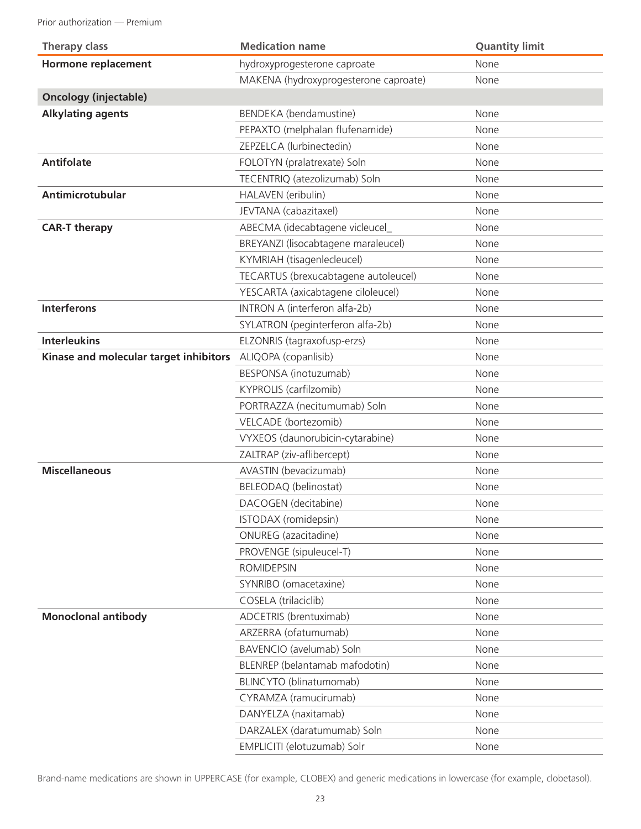Prior authorization — Premium

| <b>Therapy class</b>                   | <b>Medication name</b>                | <b>Quantity limit</b> |
|----------------------------------------|---------------------------------------|-----------------------|
| <b>Hormone replacement</b>             | hydroxyprogesterone caproate          | None                  |
|                                        | MAKENA (hydroxyprogesterone caproate) | None                  |
| <b>Oncology (injectable)</b>           |                                       |                       |
| <b>Alkylating agents</b>               | BENDEKA (bendamustine)                | None                  |
|                                        | PEPAXTO (melphalan flufenamide)       | None                  |
|                                        | ZEPZELCA (lurbinectedin)              | None                  |
| <b>Antifolate</b>                      | FOLOTYN (pralatrexate) Soln           | None                  |
|                                        | TECENTRIQ (atezolizumab) Soln         | None                  |
| Antimicrotubular                       | HALAVEN (eribulin)                    | None                  |
|                                        | JEVTANA (cabazitaxel)                 | None                  |
| <b>CAR-T therapy</b>                   | ABECMA (idecabtagene vicleucel_       | None                  |
|                                        | BREYANZI (lisocabtagene maraleucel)   | None                  |
|                                        | KYMRIAH (tisagenlecleucel)            | None                  |
|                                        | TECARTUS (brexucabtagene autoleucel)  | None                  |
|                                        | YESCARTA (axicabtagene ciloleucel)    | None                  |
| <b>Interferons</b>                     | INTRON A (interferon alfa-2b)         | None                  |
|                                        | SYLATRON (peginterferon alfa-2b)      | None                  |
| <b>Interleukins</b>                    | ELZONRIS (tagraxofusp-erzs)           | None                  |
| Kinase and molecular target inhibitors | ALIQOPA (copanlisib)                  | None                  |
|                                        | BESPONSA (inotuzumab)                 | None                  |
|                                        | KYPROLIS (carfilzomib)                | None                  |
|                                        | PORTRAZZA (necitumumab) Soln          | None                  |
|                                        | VELCADE (bortezomib)                  | None                  |
|                                        | VYXEOS (daunorubicin-cytarabine)      | None                  |
|                                        | ZALTRAP (ziv-aflibercept)             | None                  |
| <b>Miscellaneous</b>                   | AVASTIN (bevacizumab)                 | None                  |
|                                        | BELEODAQ (belinostat)                 | None                  |
|                                        | DACOGEN (decitabine)                  | None                  |
|                                        | ISTODAX (romidepsin)                  | None                  |
|                                        | ONUREG (azacitadine)                  | None                  |
|                                        | PROVENGE (sipuleucel-T)               | None                  |
|                                        | <b>ROMIDEPSIN</b>                     | None                  |
|                                        | SYNRIBO (omacetaxine)                 | None                  |
|                                        | COSELA (trilaciclib)                  | None                  |
| <b>Monoclonal antibody</b>             | ADCETRIS (brentuximab)                | None                  |
|                                        | ARZERRA (ofatumumab)                  | None                  |
|                                        | BAVENCIO (avelumab) Soln              | None                  |
|                                        | BLENREP (belantamab mafodotin)        | None                  |
|                                        | BLINCYTO (blinatumomab)               | None                  |
|                                        | CYRAMZA (ramucirumab)                 | None                  |
|                                        | DANYELZA (naxitamab)                  | None                  |
|                                        | DARZALEX (daratumumab) Soln           | None                  |
|                                        | EMPLICITI (elotuzumab) Solr           | None                  |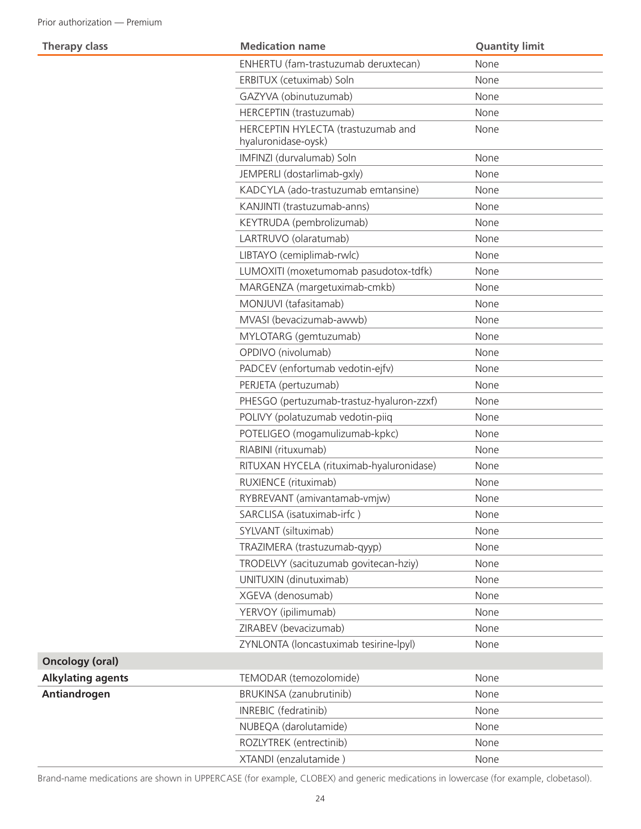| <b>Therapy class</b>     | <b>Medication name</b>                                    | <b>Quantity limit</b> |
|--------------------------|-----------------------------------------------------------|-----------------------|
|                          | ENHERTU (fam-trastuzumab deruxtecan)                      | None                  |
|                          | ERBITUX (cetuximab) Soln                                  | None                  |
|                          | GAZYVA (obinutuzumab)                                     | None                  |
|                          | HERCEPTIN (trastuzumab)                                   | None                  |
|                          | HERCEPTIN HYLECTA (trastuzumab and<br>hyaluronidase-oysk) | None                  |
|                          | IMFINZI (durvalumab) Soln                                 | None                  |
|                          | JEMPERLI (dostarlimab-gxly)                               | None                  |
|                          | KADCYLA (ado-trastuzumab emtansine)                       | None                  |
|                          | KANJINTI (trastuzumab-anns)                               | None                  |
|                          | KEYTRUDA (pembrolizumab)                                  | None                  |
|                          | LARTRUVO (olaratumab)                                     | None                  |
|                          | LIBTAYO (cemiplimab-rwlc)                                 | None                  |
|                          | LUMOXITI (moxetumomab pasudotox-tdfk)                     | None                  |
|                          | MARGENZA (margetuximab-cmkb)                              | None                  |
|                          | MONJUVI (tafasitamab)                                     | None                  |
|                          | MVASI (bevacizumab-awwb)                                  | None                  |
|                          | MYLOTARG (gemtuzumab)                                     | None                  |
|                          | OPDIVO (nivolumab)                                        | None                  |
|                          | PADCEV (enfortumab vedotin-ejfv)                          | None                  |
|                          | PERJETA (pertuzumab)                                      | None                  |
|                          | PHESGO (pertuzumab-trastuz-hyaluron-zzxf)                 | None                  |
|                          | POLIVY (polatuzumab vedotin-piiq                          | None                  |
|                          | POTELIGEO (mogamulizumab-kpkc)                            | None                  |
|                          | RIABINI (rituxumab)                                       | None                  |
|                          | RITUXAN HYCELA (rituximab-hyaluronidase)                  | None                  |
|                          | RUXIENCE (rituximab)                                      | None                  |
|                          | RYBREVANT (amivantamab-vmjw)                              | None                  |
|                          | SARCLISA (isatuximab-irfc)                                | None                  |
|                          | SYLVANT (siltuximab)                                      | None                  |
|                          | TRAZIMERA (trastuzumab-qyyp)                              | None                  |
|                          | TRODELVY (sacituzumab govitecan-hziy)                     | None                  |
|                          | UNITUXIN (dinutuximab)                                    | None                  |
|                          | XGEVA (denosumab)                                         | None                  |
|                          | YERVOY (ipilimumab)                                       | None                  |
|                          | ZIRABEV (bevacizumab)                                     | None                  |
|                          | ZYNLONTA (loncastuximab tesirine-lpyl)                    | None                  |
| <b>Oncology (oral)</b>   |                                                           |                       |
| <b>Alkylating agents</b> | TEMODAR (temozolomide)                                    | None                  |
| Antiandrogen             | BRUKINSA (zanubrutinib)                                   | None                  |
|                          | INREBIC (fedratinib)                                      | None                  |
|                          | NUBEQA (darolutamide)                                     | None                  |
|                          | ROZLYTREK (entrectinib)                                   | None                  |
|                          | XTANDI (enzalutamide)                                     | None                  |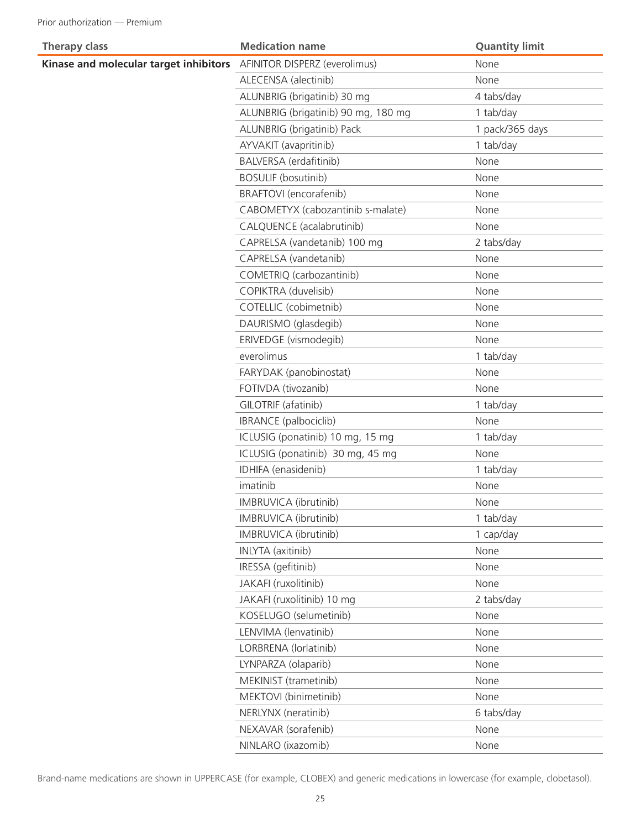| <b>Therapy class</b>                   | <b>Medication name</b>              | <b>Quantity limit</b> |
|----------------------------------------|-------------------------------------|-----------------------|
| Kinase and molecular target inhibitors | AFINITOR DISPERZ (everolimus)       | None                  |
|                                        | ALECENSA (alectinib)                | None                  |
|                                        | ALUNBRIG (brigatinib) 30 mg         | 4 tabs/day            |
|                                        | ALUNBRIG (brigatinib) 90 mg, 180 mg | 1 tab/day             |
|                                        | ALUNBRIG (brigatinib) Pack          | 1 pack/365 days       |
|                                        | AYVAKIT (avapritinib)               | 1 tab/day             |
|                                        | BALVERSA (erdafitinib)              | None                  |
|                                        | <b>BOSULIF (bosutinib)</b>          | None                  |
|                                        | BRAFTOVI (encorafenib)              | None                  |
|                                        | CABOMETYX (cabozantinib s-malate)   | None                  |
|                                        | CALQUENCE (acalabrutinib)           | None                  |
|                                        | CAPRELSA (vandetanib) 100 mg        | 2 tabs/day            |
|                                        | CAPRELSA (vandetanib)               | None                  |
|                                        | COMETRIQ (carbozantinib)            | None                  |
|                                        | COPIKTRA (duvelisib)                | None                  |
|                                        | COTELLIC (cobimetnib)               | None                  |
|                                        | DAURISMO (glasdegib)                | None                  |
|                                        | ERIVEDGE (vismodegib)               | None                  |
|                                        | everolimus                          | 1 tab/day             |
|                                        | FARYDAK (panobinostat)              | None                  |
|                                        | FOTIVDA (tivozanib)                 | None                  |
|                                        | GILOTRIF (afatinib)                 | 1 tab/day             |
|                                        | IBRANCE (palbociclib)               | None                  |
|                                        | ICLUSIG (ponatinib) 10 mg, 15 mg    | 1 tab/day             |
|                                        | ICLUSIG (ponatinib) 30 mg, 45 mg    | None                  |
|                                        | IDHIFA (enasidenib)                 | 1 tab/day             |
|                                        | imatinib                            | None                  |
|                                        | IMBRUVICA (ibrutinib)               | None                  |
|                                        | IMBRUVICA (ibrutinib)               | 1 tab/day             |
|                                        | IMBRUVICA (ibrutinib)               | 1 cap/day             |
|                                        | <b>INLYTA</b> (axitinib)            | None                  |
|                                        | IRESSA (gefitinib)                  | None                  |
|                                        | JAKAFI (ruxolitinib)                | None                  |
|                                        | JAKAFI (ruxolitinib) 10 mg          | 2 tabs/day            |
|                                        | KOSELUGO (selumetinib)              | None                  |
|                                        | LENVIMA (lenvatinib)                | None                  |
|                                        | LORBRENA (lorlatinib)               | None                  |
|                                        | LYNPARZA (olaparib)                 | None                  |
|                                        | MEKINIST (trametinib)               | None                  |
|                                        | MEKTOVI (binimetinib)               | None                  |
|                                        | NERLYNX (neratinib)                 | 6 tabs/day            |
|                                        | NEXAVAR (sorafenib)                 | None                  |
|                                        | NINLARO (ixazomib)                  | None                  |
|                                        |                                     |                       |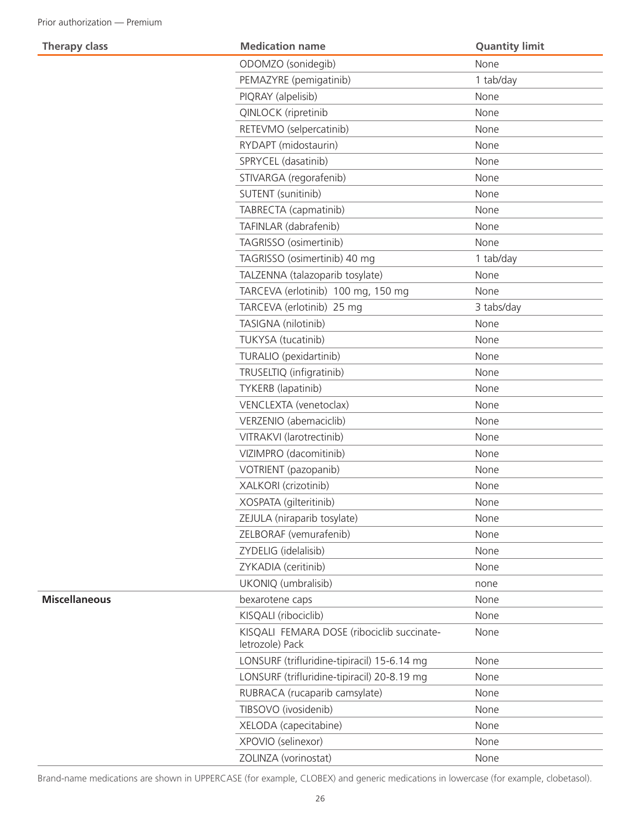**Therapy class** 

**Miscellaneous** 

|  | <b>Medication name</b>                                        | <b>Quantity limit</b> |
|--|---------------------------------------------------------------|-----------------------|
|  | ODOMZO (sonidegib)                                            | None                  |
|  | PEMAZYRE (pemigatinib)                                        | 1 tab/day             |
|  | PIQRAY (alpelisib)                                            | None                  |
|  | QINLOCK (ripretinib                                           | None                  |
|  | RETEVMO (selpercatinib)                                       | None                  |
|  | RYDAPT (midostaurin)                                          | None                  |
|  | SPRYCEL (dasatinib)                                           | None                  |
|  | STIVARGA (regorafenib)                                        | None                  |
|  | SUTENT (sunitinib)                                            | None                  |
|  | TABRECTA (capmatinib)                                         | None                  |
|  | TAFINLAR (dabrafenib)                                         | None                  |
|  | TAGRISSO (osimertinib)                                        | None                  |
|  | TAGRISSO (osimertinib) 40 mg                                  | 1 tab/day             |
|  | TALZENNA (talazoparib tosylate)                               | None                  |
|  | TARCEVA (erlotinib) 100 mg, 150 mg                            | None                  |
|  | TARCEVA (erlotinib) 25 mg                                     | 3 tabs/day            |
|  | TASIGNA (nilotinib)                                           | None                  |
|  | TUKYSA (tucatinib)                                            | None                  |
|  | TURALIO (pexidartinib)                                        | None                  |
|  | TRUSELTIQ (infigratinib)                                      | None                  |
|  | TYKERB (lapatinib)                                            | None                  |
|  | VENCLEXTA (venetoclax)                                        | None                  |
|  | VERZENIO (abemaciclib)                                        | None                  |
|  | VITRAKVI (larotrectinib)                                      | None                  |
|  | VIZIMPRO (dacomitinib)                                        | None                  |
|  | VOTRIENT (pazopanib)                                          | None                  |
|  | XALKORI (crizotinib)                                          | None                  |
|  | XOSPATA (gilteritinib)                                        | None                  |
|  | ZEJULA (niraparib tosylate)                                   | None                  |
|  | ZELBORAF (vemurafenib)                                        | None                  |
|  | ZYDELIG (idelalisib)                                          | None                  |
|  | ZYKADIA (ceritinib)                                           | None                  |
|  | UKONIQ (umbralisib)                                           | none                  |
|  | bexarotene caps                                               | None                  |
|  | KISQALI (ribociclib)                                          | None                  |
|  | KISQALI FEMARA DOSE (ribociclib succinate-<br>letrozole) Pack | None                  |
|  | LONSURF (trifluridine-tipiracil) 15-6.14 mg                   | None                  |
|  | LONSURF (trifluridine-tipiracil) 20-8.19 mg                   | None                  |
|  | RUBRACA (rucaparib camsylate)                                 | None                  |
|  | TIBSOVO (ivosidenib)                                          | None                  |
|  | XELODA (capecitabine)                                         | None                  |
|  | XPOVIO (selinexor)                                            | None                  |
|  | ZOLINZA (vorinostat)                                          | None                  |